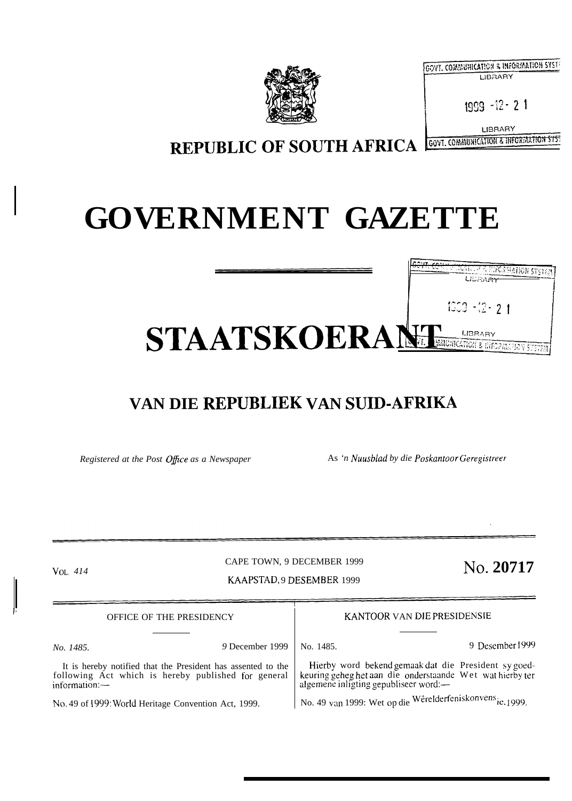

**GOVT. COMMUNICATION & INFORMATION SYSTE** LIBRARY

 $1999 - 12 - 21$ 

LIBRARY GOVT. COMMUNICATION & INFORMATION

**REPUBLIC OF SOUTH AFRICA** 

# **GOVERNMENT GAZETTE**



### **VAN DIE REPUBLIEK VAN SUID-AFRIKA**

*Registered at the Post Office as a Newspaper* **As 'n Nuusblad by die Poskantoor Geregistreer** 

CAPE TOWN, 9 DECEMBER 1999 VOL. 414 CAPE TOWN, 9 DECEMBER 1999 NO. 20717 KAAPSTAD, 9 DESEMBER 1999

|  | OFFICE OF THE PRESIDENCY                             |                                                                                                                     | KANTOOR VAN DIE PRESIDENSIE                                           |                                                                                                                   |  |
|--|------------------------------------------------------|---------------------------------------------------------------------------------------------------------------------|-----------------------------------------------------------------------|-------------------------------------------------------------------------------------------------------------------|--|
|  |                                                      |                                                                                                                     |                                                                       |                                                                                                                   |  |
|  | No. 1485.                                            | 9 December 1999                                                                                                     | No. 1485.                                                             | 9 Desember 1999                                                                                                   |  |
|  | information:—                                        | It is hereby notified that the President has assented to the<br>following Act which is hereby published for general | algemene inligting gepubliseer word:—                                 | Hierby word bekend gemaak dat die President sy goed-<br>keuring geheg het aan die onderstaande Wet wat hierby ter |  |
|  | No. 49 of 1999: World Heritage Convention Act, 1999. |                                                                                                                     | No. 49 van 1999: Wet op die Wêrelderfeniskonvens <sub>ie, 1999.</sub> |                                                                                                                   |  |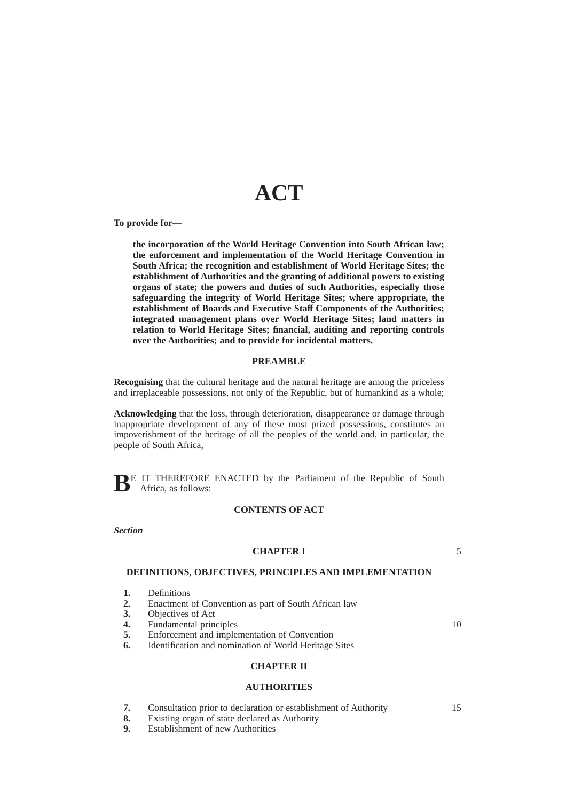## **ACT**

**To provide for—**

**the incorporation of the World Heritage Convention into South African law; the enforcement and implementation of the World Heritage Convention in South Africa; the recognition and establishment of World Heritage Sites; the establishment of Authorities and the granting of additional powers to existing organs of state; the powers and duties of such Authorities, especially those safeguarding the integrity of World Heritage Sites; where appropriate, the establishment of Boards and Executive Staff Components of the Authorities; integrated management plans over World Heritage Sites; land matters in relation to World Heritage Sites; financial, auditing and reporting controls over the Authorities; and to provide for incidental matters.**

#### **PREAMBLE**

**Recognising** that the cultural heritage and the natural heritage are among the priceless and irreplaceable possessions, not only of the Republic, but of humankind as a whole;

**Acknowledging** that the loss, through deterioration, disappearance or damage through inappropriate development of any of these most prized possessions, constitutes an impoverishment of the heritage of all the peoples of the world and, in particular, the people of South Africa,

**BE IT THEREFORE ENACTED by the Parliament of the Republic of South** Africa, as follows:

#### **CONTENTS OF ACT**

*Section*

#### **CHAPTER I**

5

#### **DEFINITIONS, OBJECTIVES, PRINCIPLES AND IMPLEMENTATION**

- **1.** Definitions
- **2.** Enactment of Convention as part of South African law
- **3.** Objectives of Act
- **4.** Fundamental principles<br>5. Enforcement and implement

10

**5.** Enforcement and implementation of Convention **6.** Identification and nomination of World Heritage Sites

#### **CHAPTER II**

#### **AUTHORITIES**

- **7.** Consultation prior to declaration or establishment of Authority
- **8.** Existing organ of state declared as Authority
- **9.** Establishment of new Authorities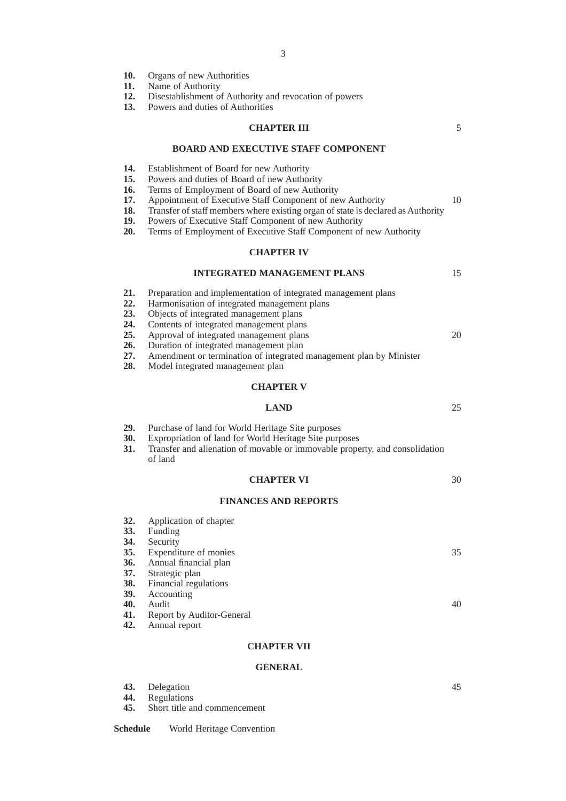- **10.** Organs of new Authorities
- **11.** Name of Authority
- **12.** Disestablishment of Authority and revocation of powers
- **13.** Powers and duties of Authorities

#### **CHAPTER III**

#### **BOARD AND EXECUTIVE STAFF COMPONENT**

- **14.** Establishment of Board for new Authority
- **15.** Powers and duties of Board of new Authority
- **16.** Terms of Employment of Board of new Authority
- **17.** Appointment of Executive Staff Component of new Authority
- **18.** Transfer of staff members where existing organ of state is declared as Authority
- **19.** Powers of Executive Staff Component of new Authority
- **20.** Terms of Employment of Executive Staff Component of new Authority

#### **CHAPTER IV**

#### **INTEGRATED MANAGEMENT PLANS**

- **21.** Preparation and implementation of integrated management plans
- **22.** Harmonisation of integrated management plans
- 
- 23. Objects of integrated management plans<br>24. Contents of integrated management plan 24. Contents of integrated management plans<br>25. Approval of integrated management plans
- **25.** Approval of integrated management plans **26.** Duration of integrated management plan
- **26.** Duration of integrated management plan
- **27.** Amendment or termination of integrated management plan by Minister
- **28.** Model integrated management plan

#### **CHAPTER V**

#### **LAND**

- **29.** Purchase of land for World Heritage Site purposes
- **30.** Expropriation of land for World Heritage Site purposes
- **31.** Transfer and alienation of movable or immovable property, and consolidation of land

| <b>CHAPTER VI</b> |  |
|-------------------|--|
|                   |  |

#### **FINANCES AND REPORTS**

**32.** Application of chapter **33.** Funding **34.** Security **35.** Expenditure of monies **36.** Annual financial plan **37.** Strategic plan **38.** Financial regulations **39.** Accounting **40.** Audit **41.** Report by Auditor-General **42.** Annual report 35 40

#### **CHAPTER VII**

#### **GENERAL**

| 43. Delegation                          | 45 |
|-----------------------------------------|----|
| <b>44.</b> Regulations                  |    |
| <b>45.</b> Short title and commencement |    |

**Schedule** World Heritage Convention

### 5

10

15

20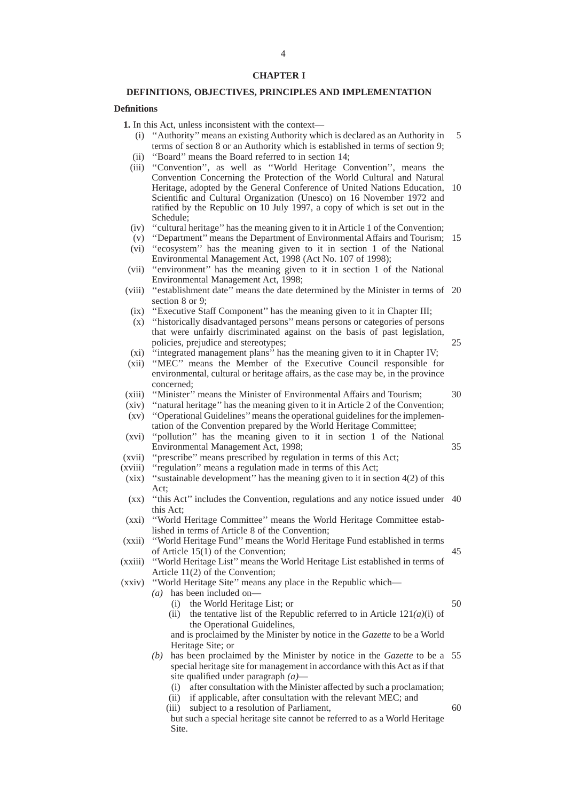#### **CHAPTER I**

#### **DEFINITIONS, OBJECTIVES, PRINCIPLES AND IMPLEMENTATION**

#### **Definitions**

**1.** In this Act, unless inconsistent with the context—

- (i) ''Authority'' means an existing Authority which is declared as an Authority in terms of section 8 or an Authority which is established in terms of section 9; 5
- (ii) ''Board'' means the Board referred to in section 14;
- (iii) ''Convention'', as well as ''World Heritage Convention'', means the Convention Concerning the Protection of the World Cultural and Natural Heritage, adopted by the General Conference of United Nations Education, 10 Scientific and Cultural Organization (Unesco) on 16 November 1972 and ratified by the Republic on 10 July 1997, a copy of which is set out in the Schedule;
- (iv) ''cultural heritage'' has the meaning given to it in Article 1 of the Convention;
- (v) ''Department'' means the Department of Environmental Affairs and Tourism; 15
- (vi) ''ecosystem'' has the meaning given to it in section 1 of the National Environmental Management Act, 1998 (Act No. 107 of 1998);
- (vii) ''environment'' has the meaning given to it in section 1 of the National Environmental Management Act, 1998;
- (viii) ''establishment date'' means the date determined by the Minister in terms of 20 section 8 or 9;
- (ix) ''Executive Staff Component'' has the meaning given to it in Chapter III;
- (x) ''historically disadvantaged persons'' means persons or categories of persons that were unfairly discriminated against on the basis of past legislation, policies, prejudice and stereotypes;

25

30

45

50

60

- (xi) ''integrated management plans'' has the meaning given to it in Chapter IV;
- (xii) ''MEC'' means the Member of the Executive Council responsible for environmental, cultural or heritage affairs, as the case may be, in the province concerned;
- (xiii) ''Minister'' means the Minister of Environmental Affairs and Tourism;
- (xiv) ''natural heritage'' has the meaning given to it in Article 2 of the Convention;
- (xv) ''Operational Guidelines''means the operational guidelines for the implementation of the Convention prepared by the World Heritage Committee;
- (xvi) ''pollution'' has the meaning given to it in section 1 of the National Environmental Management Act, 1998; 35
- (xvii) ''prescribe'' means prescribed by regulation in terms of this Act;
- (xviii) ''regulation'' means a regulation made in terms of this Act;
- (xix) ''sustainable development'' has the meaning given to it in section 4(2) of this Act;
- (xx) ''this Act'' includes the Convention, regulations and any notice issued under 40 this Act;
- (xxi) ''World Heritage Committee'' means the World Heritage Committee established in terms of Article 8 of the Convention;
- (xxii) ''World Heritage Fund'' means the World Heritage Fund established in terms of Article 15(1) of the Convention;
- (xxiii) ''World Heritage List'' means the World Heritage List established in terms of Article 11(2) of the Convention;
- (xxiv) ''World Heritage Site'' means any place in the Republic which—
	- *(a)* has been included on—
		- (i) the World Heritage List; or
		- (ii) the tentative list of the Republic referred to in Article  $121(a)(i)$  of the Operational Guidelines,

and is proclaimed by the Minister by notice in the *Gazette* to be a World Heritage Site; or

- *(b)* has been proclaimed by the Minister by notice in the *Gazette* to be a 55 special heritage site for management in accordance with this Act as if that site qualified under paragraph *(a)*—
	- (i) after consultation with the Minister affected by such a proclamation;
	- (ii) if applicable, after consultation with the relevant MEC; and
	- (iii) subject to a resolution of Parliament,

but such a special heritage site cannot be referred to as a World Heritage Site.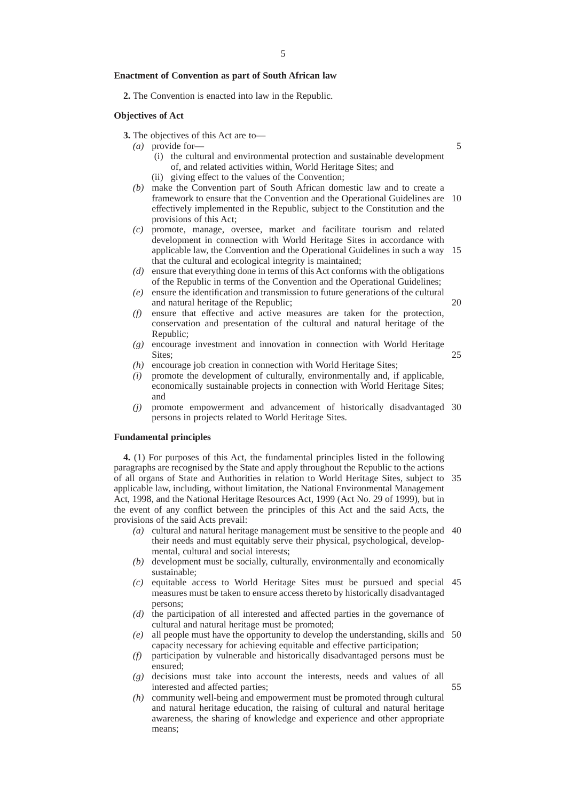#### **Enactment of Convention as part of South African law**

**2.** The Convention is enacted into law in the Republic.

#### **Objectives of Act**

- **3.** The objectives of this Act are to—
	- *(a)* provide for—
		- (i) the cultural and environmental protection and sustainable development of, and related activities within, World Heritage Sites; and
		- (ii) giving effect to the values of the Convention;
	- *(b)* make the Convention part of South African domestic law and to create a framework to ensure that the Convention and the Operational Guidelines are 10 effectively implemented in the Republic, subject to the Constitution and the provisions of this Act;
	- *(c)* promote, manage, oversee, market and facilitate tourism and related development in connection with World Heritage Sites in accordance with applicable law, the Convention and the Operational Guidelines in such a way 15 that the cultural and ecological integrity is maintained;
	- *(d)* ensure that everything done in terms of this Act conforms with the obligations of the Republic in terms of the Convention and the Operational Guidelines;
	- *(e)* ensure the identification and transmission to future generations of the cultural and natural heritage of the Republic;
		-
	- *(f)* ensure that effective and active measures are taken for the protection, conservation and presentation of the cultural and natural heritage of the Republic;
	- *(g)* encourage investment and innovation in connection with World Heritage Sites:

25

55

20

5

- *(h)* encourage job creation in connection with World Heritage Sites;
- *(i)* promote the development of culturally, environmentally and, if applicable, economically sustainable projects in connection with World Heritage Sites; and
- *(j)* promote empowerment and advancement of historically disadvantaged 30 persons in projects related to World Heritage Sites.

#### **Fundamental principles**

**4.** (1) For purposes of this Act, the fundamental principles listed in the following paragraphs are recognised by the State and apply throughout the Republic to the actions of all organs of State and Authorities in relation to World Heritage Sites, subject to 35 applicable law, including, without limitation, the National Environmental Management Act, 1998, and the National Heritage Resources Act, 1999 (Act No. 29 of 1999), but in the event of any conflict between the principles of this Act and the said Acts, the provisions of the said Acts prevail:

- *(a)* cultural and natural heritage management must be sensitive to the people and 40 their needs and must equitably serve their physical, psychological, developmental, cultural and social interests;
- *(b)* development must be socially, culturally, environmentally and economically sustainable;
- *(c)* equitable access to World Heritage Sites must be pursued and special 45 measures must be taken to ensure access thereto by historically disadvantaged persons;
- *(d)* the participation of all interested and affected parties in the governance of cultural and natural heritage must be promoted;
- *(e)* all people must have the opportunity to develop the understanding, skills and 50 capacity necessary for achieving equitable and effective participation;
- *(f)* participation by vulnerable and historically disadvantaged persons must be ensured;
- *(g)* decisions must take into account the interests, needs and values of all interested and affected parties;
- *(h)* community well-being and empowerment must be promoted through cultural and natural heritage education, the raising of cultural and natural heritage awareness, the sharing of knowledge and experience and other appropriate means;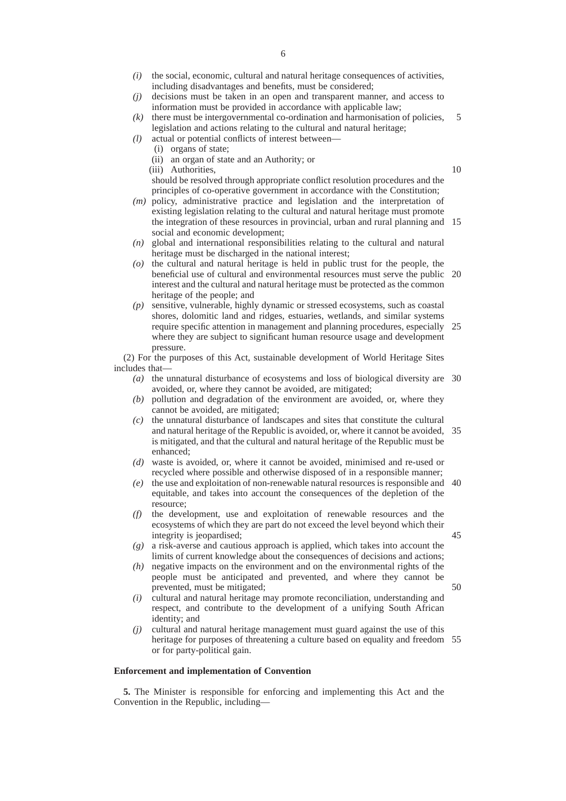- *(i)* the social, economic, cultural and natural heritage consequences of activities, including disadvantages and benefits, must be considered;
- *(j)* decisions must be taken in an open and transparent manner, and access to information must be provided in accordance with applicable law;
- *(k)* there must be intergovernmental co-ordination and harmonisation of policies, legislation and actions relating to the cultural and natural heritage; 5
- *(l)* actual or potential conflicts of interest between—
	- (i) organs of state;
	- (ii) an organ of state and an Authority; or
	- (iii) Authorities,

10

- should be resolved through appropriate conflict resolution procedures and the principles of co-operative government in accordance with the Constitution;
- *(m)* policy, administrative practice and legislation and the interpretation of existing legislation relating to the cultural and natural heritage must promote the integration of these resources in provincial, urban and rural planning and 15 social and economic development;
- *(n)* global and international responsibilities relating to the cultural and natural heritage must be discharged in the national interest;
- *(o)* the cultural and natural heritage is held in public trust for the people, the beneficial use of cultural and environmental resources must serve the public 20 interest and the cultural and natural heritage must be protected as the common heritage of the people; and
- *(p)* sensitive, vulnerable, highly dynamic or stressed ecosystems, such as coastal shores, dolomitic land and ridges, estuaries, wetlands, and similar systems require specific attention in management and planning procedures, especially 25 where they are subject to significant human resource usage and development pressure.

(2) For the purposes of this Act, sustainable development of World Heritage Sites includes that—

- *(a)* the unnatural disturbance of ecosystems and loss of biological diversity are 30 avoided, or, where they cannot be avoided, are mitigated;
- *(b)* pollution and degradation of the environment are avoided, or, where they cannot be avoided, are mitigated;
- *(c)* the unnatural disturbance of landscapes and sites that constitute the cultural and natural heritage of the Republic is avoided, or, where it cannot be avoided, 35 is mitigated, and that the cultural and natural heritage of the Republic must be enhanced;
- *(d)* waste is avoided, or, where it cannot be avoided, minimised and re-used or recycled where possible and otherwise disposed of in a responsible manner;
- *(e)* the use and exploitation of non-renewable natural resources is responsible and 40 equitable, and takes into account the consequences of the depletion of the resource;
- *(f)* the development, use and exploitation of renewable resources and the ecosystems of which they are part do not exceed the level beyond which their integrity is jeopardised;
- *(g)* a risk-averse and cautious approach is applied, which takes into account the limits of current knowledge about the consequences of decisions and actions;
- *(h)* negative impacts on the environment and on the environmental rights of the people must be anticipated and prevented, and where they cannot be prevented, must be mitigated;
- 50

45

- *(i)* cultural and natural heritage may promote reconciliation, understanding and respect, and contribute to the development of a unifying South African identity; and
- *(j)* cultural and natural heritage management must guard against the use of this heritage for purposes of threatening a culture based on equality and freedom 55or for party-political gain.

#### **Enforcement and implementation of Convention**

**5.** The Minister is responsible for enforcing and implementing this Act and the Convention in the Republic, including—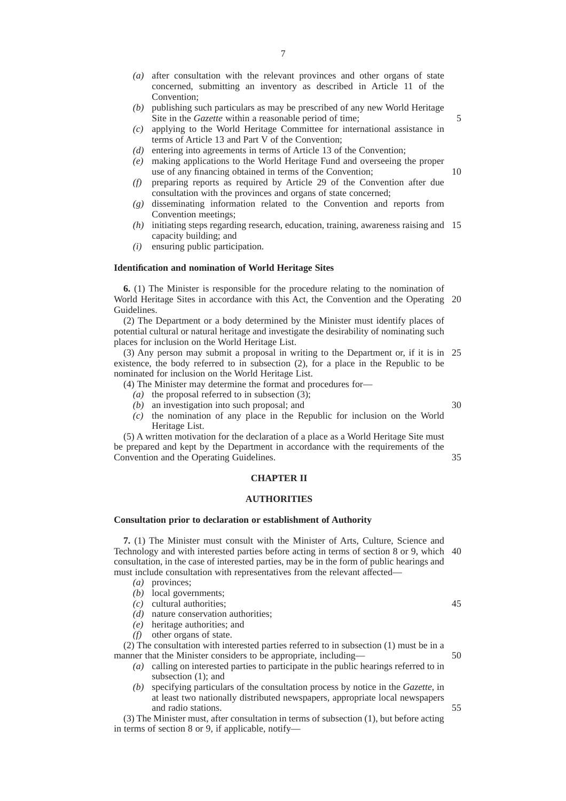- *(a)* after consultation with the relevant provinces and other organs of state concerned, submitting an inventory as described in Article 11 of the Convention;
- *(b)* publishing such particulars as may be prescribed of any new World Heritage Site in the *Gazette* within a reasonable period of time;
- *(c)* applying to the World Heritage Committee for international assistance in terms of Article 13 and Part V of the Convention;
- *(d)* entering into agreements in terms of Article 13 of the Convention;
- *(e)* making applications to the World Heritage Fund and overseeing the proper use of any financing obtained in terms of the Convention;
- *(f)* preparing reports as required by Article 29 of the Convention after due consultation with the provinces and organs of state concerned;
- *(g)* disseminating information related to the Convention and reports from Convention meetings;
- *(h)* initiating steps regarding research, education, training, awareness raising and 15 capacity building; and
- *(i)* ensuring public participation.

#### **Identification and nomination of World Heritage Sites**

**6.** (1) The Minister is responsible for the procedure relating to the nomination of World Heritage Sites in accordance with this Act, the Convention and the Operating 20 Guidelines.

(2) The Department or a body determined by the Minister must identify places of potential cultural or natural heritage and investigate the desirability of nominating such places for inclusion on the World Heritage List.

(3) Any person may submit a proposal in writing to the Department or, if it is in 25 existence, the body referred to in subsection (2), for a place in the Republic to be nominated for inclusion on the World Heritage List.

(4) The Minister may determine the format and procedures for—

- *(a)* the proposal referred to in subsection (3);
- *(b)* an investigation into such proposal; and
- *(c)* the nomination of any place in the Republic for inclusion on the World Heritage List.

(5) A written motivation for the declaration of a place as a World Heritage Site must be prepared and kept by the Department in accordance with the requirements of the Convention and the Operating Guidelines.

#### **CHAPTER II**

#### **AUTHORITIES**

#### **Consultation prior to declaration or establishment of Authority**

**7.** (1) The Minister must consult with the Minister of Arts, Culture, Science and Technology and with interested parties before acting in terms of section 8 or 9, which 40 consultation, in the case of interested parties, may be in the form of public hearings and must include consultation with representatives from the relevant affected—

- *(a)* provinces;
- *(b)* local governments;
- *(c)* cultural authorities;
- *(d)* nature conservation authorities;
- *(e)* heritage authorities; and
- *(f)* other organs of state.

(2) The consultation with interested parties referred to in subsection (1) must be in a manner that the Minister considers to be appropriate, including—

- *(a)* calling on interested parties to participate in the public hearings referred to in subsection (1); and
- *(b)* specifying particulars of the consultation process by notice in the *Gazette*, in at least two nationally distributed newspapers, appropriate local newspapers and radio stations.

(3) The Minister must, after consultation in terms of subsection (1), but before acting in terms of section 8 or 9, if applicable, notify—

30

5

10

35

45

50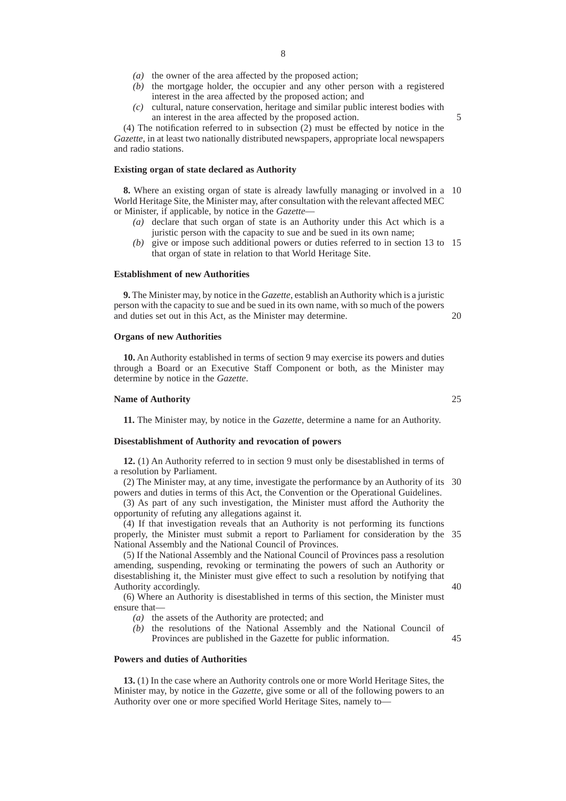- *(a)* the owner of the area affected by the proposed action;
- *(b)* the mortgage holder, the occupier and any other person with a registered interest in the area affected by the proposed action; and
- *(c)* cultural, nature conservation, heritage and similar public interest bodies with an interest in the area affected by the proposed action.

5

(4) The notification referred to in subsection (2) must be effected by notice in the *Gazette*, in at least two nationally distributed newspapers, appropriate local newspapers and radio stations.

#### **Existing organ of state declared as Authority**

**8.** Where an existing organ of state is already lawfully managing or involved in a 10 World Heritage Site, the Minister may, after consultation with the relevant affected MEC or Minister, if applicable, by notice in the *Gazette*—

- *(a)* declare that such organ of state is an Authority under this Act which is a juristic person with the capacity to sue and be sued in its own name;
- *(b)* give or impose such additional powers or duties referred to in section 13 to 15 that organ of state in relation to that World Heritage Site.

#### **Establishment of new Authorities**

**9.** The Minister may, by notice in the *Gazette*, establish an Authority which is a juristic person with the capacity to sue and be sued in its own name, with so much of the powers and duties set out in this Act, as the Minister may determine. 20

#### **Organs of new Authorities**

**10.** An Authority established in terms of section 9 may exercise its powers and duties through a Board or an Executive Staff Component or both, as the Minister may determine by notice in the *Gazette*.

#### **Name of Authority**

**11.** The Minister may, by notice in the *Gazette*, determine a name for an Authority.

#### **Disestablishment of Authority and revocation of powers**

**12.** (1) An Authority referred to in section 9 must only be disestablished in terms of a resolution by Parliament.

(2) The Minister may, at any time, investigate the performance by an Authority of its 30 powers and duties in terms of this Act, the Convention or the Operational Guidelines.

(3) As part of any such investigation, the Minister must afford the Authority the opportunity of refuting any allegations against it.

(4) If that investigation reveals that an Authority is not performing its functions properly, the Minister must submit a report to Parliament for consideration by the 35 National Assembly and the National Council of Provinces.

(5) If the National Assembly and the National Council of Provinces pass a resolution amending, suspending, revoking or terminating the powers of such an Authority or disestablishing it, the Minister must give effect to such a resolution by notifying that Authority accordingly.

(6) Where an Authority is disestablished in terms of this section, the Minister must ensure that—

*(a)* the assets of the Authority are protected; and

*(b)* the resolutions of the National Assembly and the National Council of Provinces are published in the Gazette for public information.

#### **Powers and duties of Authorities**

**13.** (1) In the case where an Authority controls one or more World Heritage Sites, the Minister may, by notice in the *Gazette*, give some or all of the following powers to an Authority over one or more specified World Heritage Sites, namely to—

25

40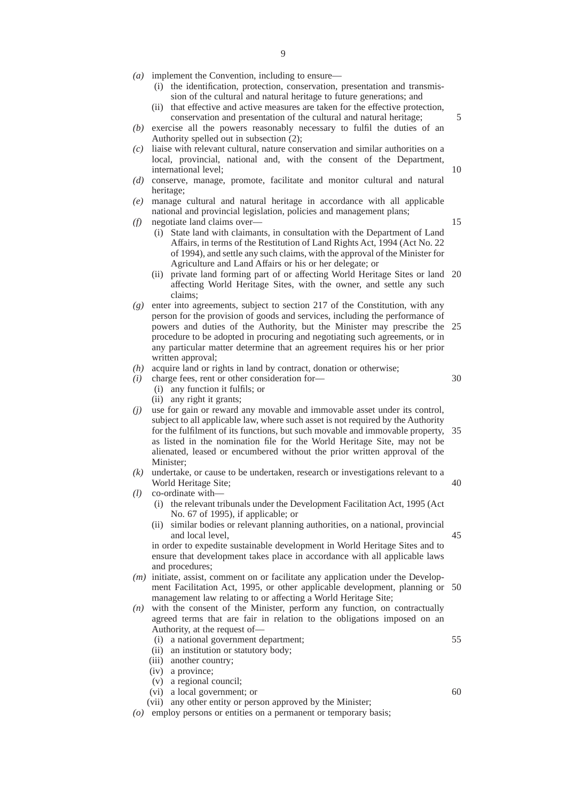- *(a)* implement the Convention, including to ensure—
	- (i) the identification, protection, conservation, presentation and transmission of the cultural and natural heritage to future generations; and
	- (ii) that effective and active measures are taken for the effective protection, conservation and presentation of the cultural and natural heritage;
- *(b)* exercise all the powers reasonably necessary to fulfil the duties of an Authority spelled out in subsection (2);
- *(c)* liaise with relevant cultural, nature conservation and similar authorities on a local, provincial, national and, with the consent of the Department, international level;
- *(d)* conserve, manage, promote, facilitate and monitor cultural and natural heritage;
- *(e)* manage cultural and natural heritage in accordance with all applicable national and provincial legislation, policies and management plans;
- *(f)* negotiate land claims over—
	- (i) State land with claimants, in consultation with the Department of Land Affairs, in terms of the Restitution of Land Rights Act, 1994 (Act No. 22 of 1994), and settle any such claims, with the approval of the Minister for Agriculture and Land Affairs or his or her delegate; or
	- (ii) private land forming part of or affecting World Heritage Sites or land 20 affecting World Heritage Sites, with the owner, and settle any such claims;
- *(g)* enter into agreements, subject to section 217 of the Constitution, with any person for the provision of goods and services, including the performance of powers and duties of the Authority, but the Minister may prescribe the 25 procedure to be adopted in procuring and negotiating such agreements, or in any particular matter determine that an agreement requires his or her prior written approval;
- *(h)* acquire land or rights in land by contract, donation or otherwise;
- *(i)* charge fees, rent or other consideration for—
	- (i) any function it fulfils; or
	- (ii) any right it grants;
- *(j)* use for gain or reward any movable and immovable asset under its control, subject to all applicable law, where such asset is not required by the Authority for the fulfilment of its functions, but such movable and immovable property, 35 as listed in the nomination file for the World Heritage Site, may not be alienated, leased or encumbered without the prior written approval of the Minister;
- *(k)* undertake, or cause to be undertaken, research or investigations relevant to a World Heritage Site; 40
- *(l)* co-ordinate with—
	- (i) the relevant tribunals under the Development Facilitation Act, 1995 (Act No. 67 of 1995), if applicable; or
	- (ii) similar bodies or relevant planning authorities, on a national, provincial and local level,

in order to expedite sustainable development in World Heritage Sites and to ensure that development takes place in accordance with all applicable laws and procedures;

- *(m)* initiate, assist, comment on or facilitate any application under the Development Facilitation Act, 1995, or other applicable development, planning or 50 management law relating to or affecting a World Heritage Site;
- *(n)* with the consent of the Minister, perform any function, on contractually agreed terms that are fair in relation to the obligations imposed on an Authority, at the request of—
	- (i) a national government department;
	- (ii) an institution or statutory body;
	- (iii) another country;
	- (iv) a province;
	- (v) a regional council;
	- (vi) a local government; or
	- (vii) any other entity or person approved by the Minister;
- *(o)* employ persons or entities on a permanent or temporary basis;

15

10

5

30

- 60
- 55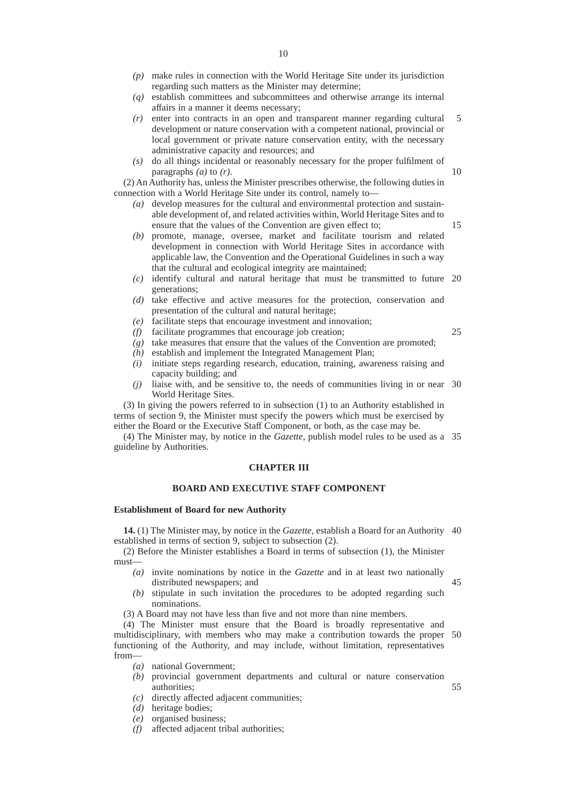- *(q)* establish committees and subcommittees and otherwise arrange its internal affairs in a manner it deems necessary;
- *(r)* enter into contracts in an open and transparent manner regarding cultural development or nature conservation with a competent national, provincial or local government or private nature conservation entity, with the necessary administrative capacity and resources; and 5

10

15

25

55

*(s)* do all things incidental or reasonably necessary for the proper fulfilment of paragraphs *(a)* to *(r)*.

(2) An Authority has, unless the Minister prescribes otherwise, the following duties in connection with a World Heritage Site under its control, namely to—

- *(a)* develop measures for the cultural and environmental protection and sustainable development of, and related activities within, World Heritage Sites and to ensure that the values of the Convention are given effect to;
- *(b)* promote, manage, oversee, market and facilitate tourism and related development in connection with World Heritage Sites in accordance with applicable law, the Convention and the Operational Guidelines in such a way that the cultural and ecological integrity are maintained;
- *(c)* identify cultural and natural heritage that must be transmitted to future 20 generations;
- *(d)* take effective and active measures for the protection, conservation and presentation of the cultural and natural heritage;
- *(e)* facilitate steps that encourage investment and innovation;
- *(f)* facilitate programmes that encourage job creation;
- *(g)* take measures that ensure that the values of the Convention are promoted;
- *(h)* establish and implement the Integrated Management Plan;
- *(i)* initiate steps regarding research, education, training, awareness raising and capacity building; and
- *(j)* liaise with, and be sensitive to, the needs of communities living in or near 30 World Heritage Sites.

(3) In giving the powers referred to in subsection (1) to an Authority established in terms of section 9, the Minister must specify the powers which must be exercised by either the Board or the Executive Staff Component, or both, as the case may be.

(4) The Minister may, by notice in the *Gazette*, publish model rules to be used as a 35 guideline by Authorities.

#### **CHAPTER III**

#### **BOARD AND EXECUTIVE STAFF COMPONENT**

#### **Establishment of Board for new Authority**

**14.** (1) The Minister may, by notice in the *Gazette*, establish a Board for an Authority 40 established in terms of section 9, subject to subsection (2).

(2) Before the Minister establishes a Board in terms of subsection (1), the Minister must—

- *(a)* invite nominations by notice in the *Gazette* and in at least two nationally distributed newspapers; and 45
- *(b)* stipulate in such invitation the procedures to be adopted regarding such nominations.

(3) A Board may not have less than five and not more than nine members.

(4) The Minister must ensure that the Board is broadly representative and multidisciplinary, with members who may make a contribution towards the proper 50 functioning of the Authority, and may include, without limitation, representatives from—

- *(a)* national Government;
- *(b)* provincial government departments and cultural or nature conservation authorities;
- *(c)* directly affected adjacent communities;
- *(d)* heritage bodies;
- *(e)* organised business;
- *(f)* affected adjacent tribal authorities;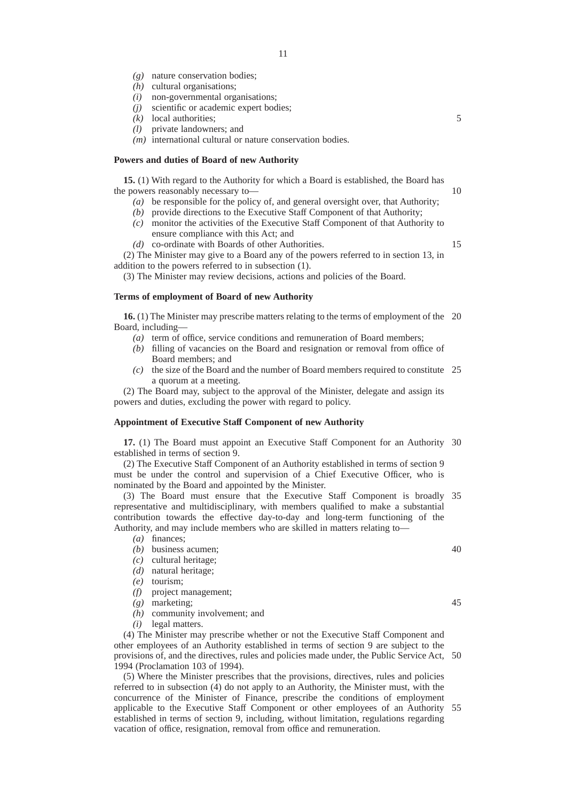- *(g)* nature conservation bodies;
- *(h)* cultural organisations;
- *(i)* non-governmental organisations;
- *(j)* scientific or academic expert bodies;
- *(k)* local authorities;
- *(l)* private landowners; and
- *(m)* international cultural or nature conservation bodies.

#### **Powers and duties of Board of new Authority**

**15.** (1) With regard to the Authority for which a Board is established, the Board has the powers reasonably necessary to—

- *(a)* be responsible for the policy of, and general oversight over, that Authority;
- *(b)* provide directions to the Executive Staff Component of that Authority;
- *(c)* monitor the activities of the Executive Staff Component of that Authority to ensure compliance with this Act; and
- *(d)* co-ordinate with Boards of other Authorities.

(2) The Minister may give to a Board any of the powers referred to in section 13, in addition to the powers referred to in subsection (1).

(3) The Minister may review decisions, actions and policies of the Board.

#### **Terms of employment of Board of new Authority**

**16.** (1) The Minister may prescribe matters relating to the terms of employment of the 20 Board, including—

- *(a)* term of office, service conditions and remuneration of Board members;
- *(b)* filling of vacancies on the Board and resignation or removal from office of Board members; and
- *(c)* the size of the Board and the number of Board members required to constitute 25 a quorum at a meeting.

(2) The Board may, subject to the approval of the Minister, delegate and assign its powers and duties, excluding the power with regard to policy.

#### **Appointment of Executive Staff Component of new Authority**

**17.** (1) The Board must appoint an Executive Staff Component for an Authority 30 established in terms of section 9.

(2) The Executive Staff Component of an Authority established in terms of section 9 must be under the control and supervision of a Chief Executive Officer, who is nominated by the Board and appointed by the Minister.

(3) The Board must ensure that the Executive Staff Component is broadly 35 representative and multidisciplinary, with members qualified to make a substantial contribution towards the effective day-to-day and long-term functioning of the Authority, and may include members who are skilled in matters relating to—

- *(a)* finances;
- *(b)* business acumen;
- *(c)* cultural heritage;
- *(d)* natural heritage;
- *(e)* tourism;
- *(f)* project management;
- *(g)* marketing;
- *(h)* community involvement; and
- *(i)* legal matters.

(4) The Minister may prescribe whether or not the Executive Staff Component and other employees of an Authority established in terms of section 9 are subject to the provisions of, and the directives, rules and policies made under, the Public Service Act, 50 1994 (Proclamation 103 of 1994).

(5) Where the Minister prescribes that the provisions, directives, rules and policies referred to in subsection (4) do not apply to an Authority, the Minister must, with the concurrence of the Minister of Finance, prescribe the conditions of employment applicable to the Executive Staff Component or other employees of an Authority 55established in terms of section 9, including, without limitation, regulations regarding vacation of office, resignation, removal from office and remuneration.

40

45

5

10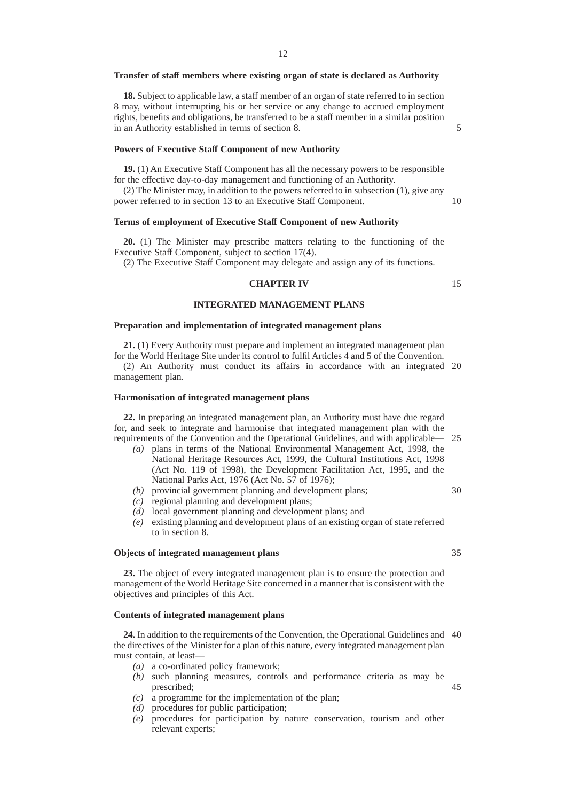#### **Transfer of staff members where existing organ of state is declared as Authority**

**18.** Subject to applicable law, a staff member of an organ of state referred to in section 8 may, without interrupting his or her service or any change to accrued employment rights, benefits and obligations, be transferred to be a staff member in a similar position in an Authority established in terms of section 8.

#### **Powers of Executive Staff Component of new Authority**

**19.** (1) An Executive Staff Component has all the necessary powers to be responsible for the effective day-to-day management and functioning of an Authority.

(2) The Minister may, in addition to the powers referred to in subsection (1), give any power referred to in section 13 to an Executive Staff Component. 10

#### **Terms of employment of Executive Staff Component of new Authority**

**20.** (1) The Minister may prescribe matters relating to the functioning of the Executive Staff Component, subject to section 17(4).

(2) The Executive Staff Component may delegate and assign any of its functions.

#### **CHAPTER IV**

#### **INTEGRATED MANAGEMENT PLANS**

#### **Preparation and implementation of integrated management plans**

**21.** (1) Every Authority must prepare and implement an integrated management plan for the World Heritage Site under its control to fulfil Articles 4 and 5 of the Convention. (2) An Authority must conduct its affairs in accordance with an integrated 20 management plan.

#### **Harmonisation of integrated management plans**

**22.** In preparing an integrated management plan, an Authority must have due regard for, and seek to integrate and harmonise that integrated management plan with the requirements of the Convention and the Operational Guidelines, and with applicable— 25

- *(a)* plans in terms of the National Environmental Management Act, 1998, the National Heritage Resources Act, 1999, the Cultural Institutions Act, 1998 (Act No. 119 of 1998), the Development Facilitation Act, 1995, and the National Parks Act, 1976 (Act No. 57 of 1976);
- *(b)* provincial government planning and development plans;
- *(c)* regional planning and development plans;
- *(d)* local government planning and development plans; and
- *(e)* existing planning and development plans of an existing organ of state referred to in section 8.

#### **Objects of integrated management plans**

**23.** The object of every integrated management plan is to ensure the protection and management of the World Heritage Site concerned in a manner that is consistent with the objectives and principles of this Act.

#### **Contents of integrated management plans**

**24.** In addition to the requirements of the Convention, the Operational Guidelines and 40 the directives of the Minister for a plan of this nature, every integrated management plan must contain, at least—

- *(a)* a co-ordinated policy framework;
- *(b)* such planning measures, controls and performance criteria as may be prescribed;
- *(c)* a programme for the implementation of the plan;
- *(d)* procedures for public participation;
- *(e)* procedures for participation by nature conservation, tourism and other relevant experts;

15

30

35

45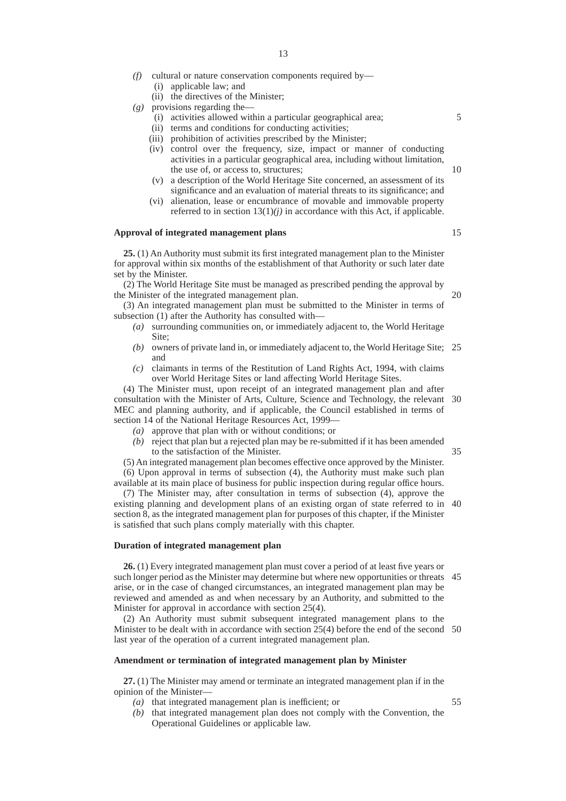- *(f)* cultural or nature conservation components required by—
	- (i) applicable law; and
	- (ii) the directives of the Minister;
- *(g)* provisions regarding the—
	- (i) activities allowed within a particular geographical area;
	- (ii) terms and conditions for conducting activities;
	- (iii) prohibition of activities prescribed by the Minister;
	- (iv) control over the frequency, size, impact or manner of conducting activities in a particular geographical area, including without limitation, the use of, or access to, structures;
	- (v) a description of the World Heritage Site concerned, an assessment of its significance and an evaluation of material threats to its significance; and
	- (vi) alienation, lease or encumbrance of movable and immovable property referred to in section  $13(1)(j)$  in accordance with this Act, if applicable.

#### **Approval of integrated management plans**

**25.** (1) An Authority must submit its first integrated management plan to the Minister for approval within six months of the establishment of that Authority or such later date set by the Minister.

(2) The World Heritage Site must be managed as prescribed pending the approval by the Minister of the integrated management plan.

(3) An integrated management plan must be submitted to the Minister in terms of subsection (1) after the Authority has consulted with—

- *(a)* surrounding communities on, or immediately adjacent to, the World Heritage Site;
- *(b)* owners of private land in, or immediately adjacent to, the World Heritage Site; 25 and
- *(c)* claimants in terms of the Restitution of Land Rights Act, 1994, with claims over World Heritage Sites or land affecting World Heritage Sites.

(4) The Minister must, upon receipt of an integrated management plan and after consultation with the Minister of Arts, Culture, Science and Technology, the relevant 30 MEC and planning authority, and if applicable, the Council established in terms of section 14 of the National Heritage Resources Act, 1999—

- *(a)* approve that plan with or without conditions; or
- *(b)* reject that plan but a rejected plan may be re-submitted if it has been amended to the satisfaction of the Minister.

(5) An integrated management plan becomes effective once approved by the Minister. (6) Upon approval in terms of subsection (4), the Authority must make such plan available at its main place of business for public inspection during regular office hours.

(7) The Minister may, after consultation in terms of subsection (4), approve the existing planning and development plans of an existing organ of state referred to in 40 section 8, as the integrated management plan for purposes of this chapter, if the Minister is satisfied that such plans comply materially with this chapter.

#### **Duration of integrated management plan**

**26.** (1) Every integrated management plan must cover a period of at least five years or such longer period as the Minister may determine but where new opportunities or threats 45 arise, or in the case of changed circumstances, an integrated management plan may be reviewed and amended as and when necessary by an Authority, and submitted to the Minister for approval in accordance with section 25(4).

(2) An Authority must submit subsequent integrated management plans to the Minister to be dealt with in accordance with section 25(4) before the end of the second 50 last year of the operation of a current integrated management plan.

#### **Amendment or termination of integrated management plan by Minister**

**27.** (1) The Minister may amend or terminate an integrated management plan if in the opinion of the Minister—

- *(a)* that integrated management plan is inefficient; or
- *(b)* that integrated management plan does not comply with the Convention, the Operational Guidelines or applicable law.

15

10

5

20

35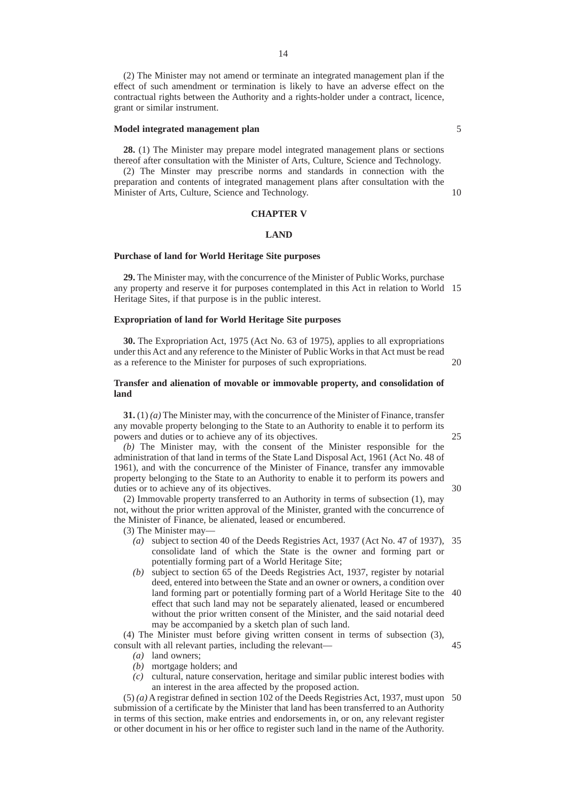(2) The Minister may not amend or terminate an integrated management plan if the effect of such amendment or termination is likely to have an adverse effect on the contractual rights between the Authority and a rights-holder under a contract, licence, grant or similar instrument.

#### **Model integrated management plan**

**28.** (1) The Minister may prepare model integrated management plans or sections thereof after consultation with the Minister of Arts, Culture, Science and Technology.

(2) The Minster may prescribe norms and standards in connection with the preparation and contents of integrated management plans after consultation with the Minister of Arts, Culture, Science and Technology.

#### **CHAPTER V**

#### **LAND**

#### **Purchase of land for World Heritage Site purposes**

**29.** The Minister may, with the concurrence of the Minister of Public Works, purchase any property and reserve it for purposes contemplated in this Act in relation to World 15 Heritage Sites, if that purpose is in the public interest.

#### **Expropriation of land for World Heritage Site purposes**

**30.** The Expropriation Act, 1975 (Act No. 63 of 1975), applies to all expropriations under this Act and any reference to the Minister of Public Works in that Act must be read as a reference to the Minister for purposes of such expropriations.

#### **Transfer and alienation of movable or immovable property, and consolidation of land**

**31.** (1) *(a)* The Minister may, with the concurrence of the Minister of Finance, transfer any movable property belonging to the State to an Authority to enable it to perform its powers and duties or to achieve any of its objectives.

*(b)* The Minister may, with the consent of the Minister responsible for the administration of that land in terms of the State Land Disposal Act, 1961 (Act No. 48 of 1961), and with the concurrence of the Minister of Finance, transfer any immovable property belonging to the State to an Authority to enable it to perform its powers and duties or to achieve any of its objectives.

(2) Immovable property transferred to an Authority in terms of subsection (1), may not, without the prior written approval of the Minister, granted with the concurrence of the Minister of Finance, be alienated, leased or encumbered.

(3) The Minister may—

- *(a)* subject to section 40 of the Deeds Registries Act, 1937 (Act No. 47 of 1937), 35 consolidate land of which the State is the owner and forming part or potentially forming part of a World Heritage Site;
- *(b)* subject to section 65 of the Deeds Registries Act, 1937, register by notarial deed, entered into between the State and an owner or owners, a condition over land forming part or potentially forming part of a World Heritage Site to the 40 effect that such land may not be separately alienated, leased or encumbered without the prior written consent of the Minister, and the said notarial deed may be accompanied by a sketch plan of such land.

(4) The Minister must before giving written consent in terms of subsection (3), consult with all relevant parties, including the relevant—

- *(a)* land owners;
- *(b)* mortgage holders; and
- *(c)* cultural, nature conservation, heritage and similar public interest bodies with an interest in the area affected by the proposed action.

(5) *(a)* A registrar defined in section 102 of the Deeds Registries Act, 1937, must upon 50submission of a certificate by the Minister that land has been transferred to an Authority in terms of this section, make entries and endorsements in, or on, any relevant register or other document in his or her office to register such land in the name of the Authority.

10

5

 $25$ 

30

20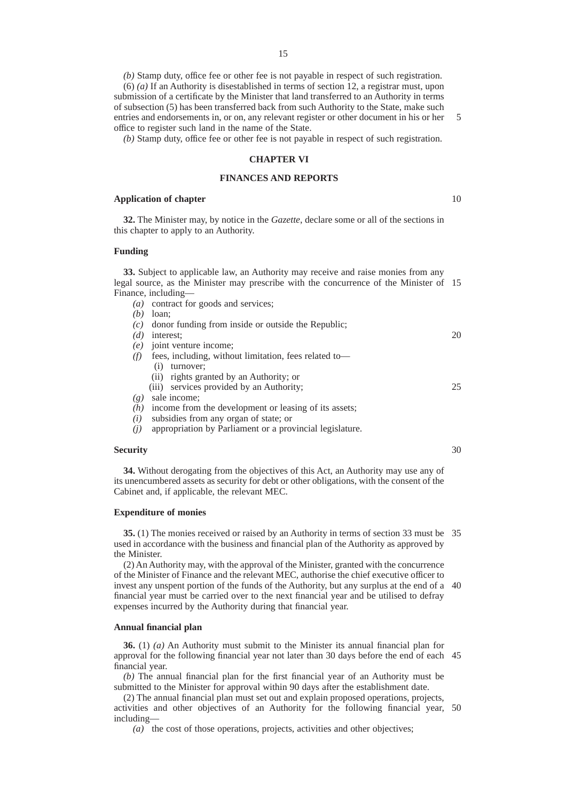*(b)* Stamp duty, office fee or other fee is not payable in respect of such registration. (6) *(a)* If an Authority is disestablished in terms of section 12, a registrar must, upon submission of a certificate by the Minister that land transferred to an Authority in terms of subsection (5) has been transferred back from such Authority to the State, make such entries and endorsements in, or on, any relevant register or other document in his or her office to register such land in the name of the State.

*(b)* Stamp duty, office fee or other fee is not payable in respect of such registration.

#### **CHAPTER VI**

#### **FINANCES AND REPORTS**

#### **Application of chapter**

**32.** The Minister may, by notice in the *Gazette*, declare some or all of the sections in this chapter to apply to an Authority.

#### **Funding**

**33.** Subject to applicable law, an Authority may receive and raise monies from any legal source, as the Minister may prescribe with the concurrence of the Minister of 15 Finance, including—

| 20 |
|----|
|    |
|    |
|    |
|    |
| 25 |
|    |
|    |
|    |
|    |

*(j)* appropriation by Parliament or a provincial legislature.

#### **Security**

**34.** Without derogating from the objectives of this Act, an Authority may use any of its unencumbered assets as security for debt or other obligations, with the consent of the Cabinet and, if applicable, the relevant MEC.

#### **Expenditure of monies**

**35.** (1) The monies received or raised by an Authority in terms of section 33 must be 35 used in accordance with the business and financial plan of the Authority as approved by the Minister.

(2) An Authority may, with the approval of the Minister, granted with the concurrence of the Minister of Finance and the relevant MEC, authorise the chief executive officer to invest any unspent portion of the funds of the Authority, but any surplus at the end of a 40 financial year must be carried over to the next financial year and be utilised to defray expenses incurred by the Authority during that financial year.

#### **Annual financial plan**

**36.** (1) *(a)* An Authority must submit to the Minister its annual financial plan for approval for the following financial year not later than 30 days before the end of each 45 financial year.

*(b)* The annual financial plan for the first financial year of an Authority must be submitted to the Minister for approval within 90 days after the establishment date.

(2) The annual financial plan must set out and explain proposed operations, projects, activities and other objectives of an Authority for the following financial year, 50including—

*(a)* the cost of those operations, projects, activities and other objectives;

30

5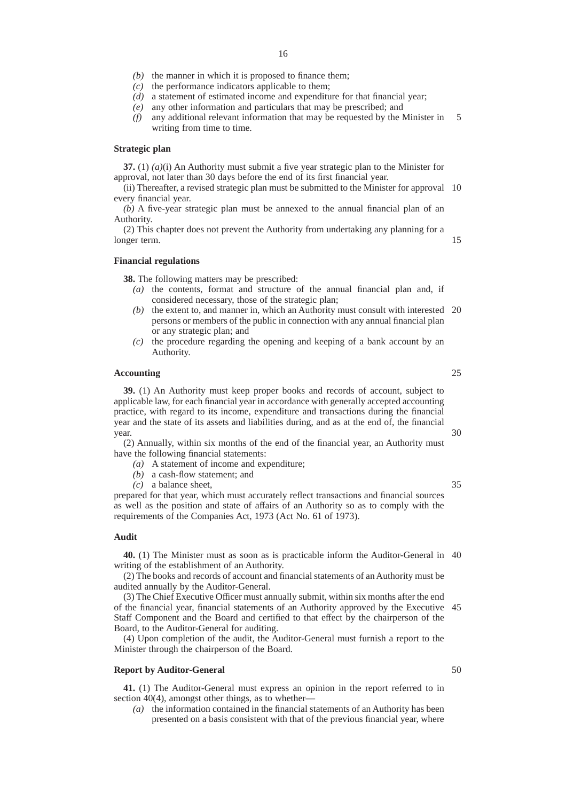- *(b)* the manner in which it is proposed to finance them;
- *(c)* the performance indicators applicable to them;
- *(d)* a statement of estimated income and expenditure for that financial year;
- *(e)* any other information and particulars that may be prescribed; and
- *(f)* any additional relevant information that may be requested by the Minister in writing from time to time. 5

#### **Strategic plan**

**37.** (1) *(a)*(i) An Authority must submit a five year strategic plan to the Minister for approval, not later than 30 days before the end of its first financial year.

(ii) Thereafter, a revised strategic plan must be submitted to the Minister for approval 10 every financial year.

*(b)* A five-year strategic plan must be annexed to the annual financial plan of an Authority.

(2) This chapter does not prevent the Authority from undertaking any planning for a longer term.

#### **Financial regulations**

**38.** The following matters may be prescribed:

- *(a)* the contents, format and structure of the annual financial plan and, if considered necessary, those of the strategic plan;
- *(b)* the extent to, and manner in, which an Authority must consult with interested 20 persons or members of the public in connection with any annual financial plan or any strategic plan; and
- *(c)* the procedure regarding the opening and keeping of a bank account by an Authority.

#### **Accounting**

**39.** (1) An Authority must keep proper books and records of account, subject to applicable law, for each financial year in accordance with generally accepted accounting practice, with regard to its income, expenditure and transactions during the financial year and the state of its assets and liabilities during, and as at the end of, the financial year.

(2) Annually, within six months of the end of the financial year, an Authority must have the following financial statements:

- *(a)* A statement of income and expenditure;
- *(b)* a cash-flow statement; and
- *(c)* a balance sheet,

prepared for that year, which must accurately reflect transactions and financial sources as well as the position and state of affairs of an Authority so as to comply with the requirements of the Companies Act, 1973 (Act No. 61 of 1973).

#### **Audit**

**40.** (1) The Minister must as soon as is practicable inform the Auditor-General in 40 writing of the establishment of an Authority.

(2) The books and records of account and financial statements of an Authority must be audited annually by the Auditor-General.

(3) The Chief Executive Officer must annually submit, within six months after the end of the financial year, financial statements of an Authority approved by the Executive 45 Staff Component and the Board and certified to that effect by the chairperson of the Board, to the Auditor-General for auditing.

(4) Upon completion of the audit, the Auditor-General must furnish a report to the Minister through the chairperson of the Board.

#### **Report by Auditor-General**

**41.** (1) The Auditor-General must express an opinion in the report referred to in section 40(4), amongst other things, as to whether—

*(a)* the information contained in the financial statements of an Authority has been presented on a basis consistent with that of the previous financial year, where

30

35

25

15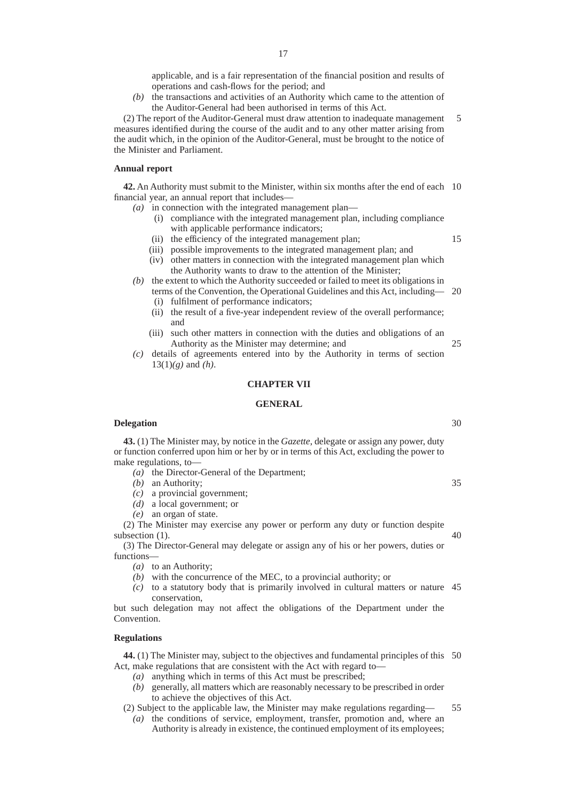applicable, and is a fair representation of the financial position and results of operations and cash-flows for the period; and

*(b)* the transactions and activities of an Authority which came to the attention of the Auditor-General had been authorised in terms of this Act.

(2) The report of the Auditor-General must draw attention to inadequate management measures identified during the course of the audit and to any other matter arising from the audit which, in the opinion of the Auditor-General, must be brought to the notice of the Minister and Parliament. 5

#### **Annual report**

**42.** An Authority must submit to the Minister, within six months after the end of each 10 financial year, an annual report that includes—

- *(a)* in connection with the integrated management plan—
	- (i) compliance with the integrated management plan, including compliance with applicable performance indicators;
	- (ii) the efficiency of the integrated management plan;

15

- (iii) possible improvements to the integrated management plan; and
- (iv) other matters in connection with the integrated management plan which the Authority wants to draw to the attention of the Minister;
- *(b)* the extent to which the Authority succeeded or failed to meet its obligations in terms of the Convention, the Operational Guidelines and this Act, including— 20
	- (i) fulfilment of performance indicators;
	- (ii) the result of a five-year independent review of the overall performance; and
	- (iii) such other matters in connection with the duties and obligations of an Authority as the Minister may determine; and 25
- *(c)* details of agreements entered into by the Authority in terms of section 13(1)*(g)* and *(h)*.

#### **CHAPTER VII**

#### **GENERAL**

#### **Delegation**

**43.** (1) The Minister may, by notice in the *Gazette*, delegate or assign any power, duty or function conferred upon him or her by or in terms of this Act, excluding the power to make regulations, to—

- *(a)* the Director-General of the Department;
- *(b)* an Authority;
- *(c)* a provincial government;
- *(d)* a local government; or
- *(e)* an organ of state.

(2) The Minister may exercise any power or perform any duty or function despite subsection  $(1)$ .

(3) The Director-General may delegate or assign any of his or her powers, duties or functions—

- *(a)* to an Authority;
- *(b)* with the concurrence of the MEC, to a provincial authority; or
- *(c)* to a statutory body that is primarily involved in cultural matters or nature 45 conservation,

but such delegation may not affect the obligations of the Department under the Convention.

#### **Regulations**

**44.** (1) The Minister may, subject to the objectives and fundamental principles of this 50 Act, make regulations that are consistent with the Act with regard to—

*(a)* anything which in terms of this Act must be prescribed;

- *(b)* generally, all matters which are reasonably necessary to be prescribed in order to achieve the objectives of this Act.
- (2) Subject to the applicable law, the Minister may make regulations regarding— 55
	- *(a)* the conditions of service, employment, transfer, promotion and, where an Authority is already in existence, the continued employment of its employees;

30

35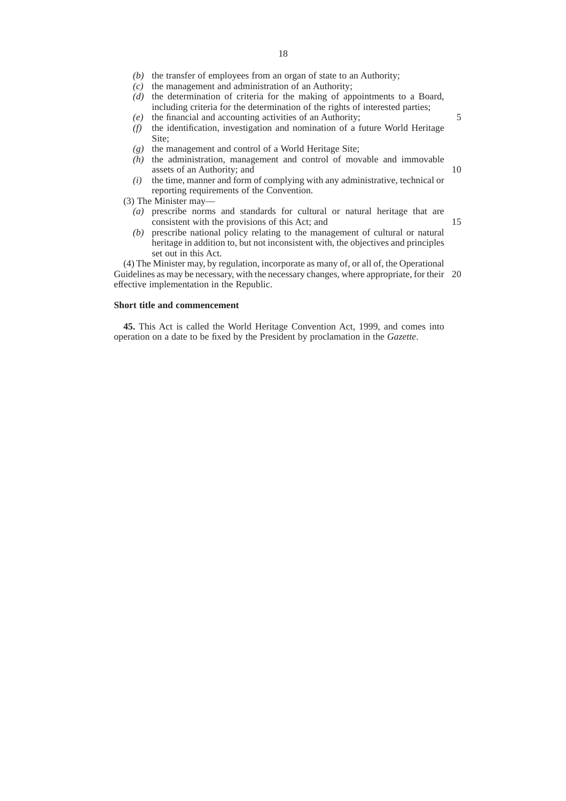- *(b)* the transfer of employees from an organ of state to an Authority;
- *(c)* the management and administration of an Authority;
- *(d)* the determination of criteria for the making of appointments to a Board, including criteria for the determination of the rights of interested parties;
- *(e)* the financial and accounting activities of an Authority;
- *(f)* the identification, investigation and nomination of a future World Heritage Site;

5

10

15

- *(g)* the management and control of a World Heritage Site;
- *(h)* the administration, management and control of movable and immovable assets of an Authority; and
- *(i)* the time, manner and form of complying with any administrative, technical or reporting requirements of the Convention.
- (3) The Minister may—
	- *(a)* prescribe norms and standards for cultural or natural heritage that are consistent with the provisions of this Act; and
	- *(b)* prescribe national policy relating to the management of cultural or natural heritage in addition to, but not inconsistent with, the objectives and principles set out in this Act.

(4) The Minister may, by regulation, incorporate as many of, or all of, the Operational Guidelines as may be necessary, with the necessary changes, where appropriate, for their 20effective implementation in the Republic.

#### **Short title and commencement**

**45.** This Act is called the World Heritage Convention Act, 1999, and comes into operation on a date to be fixed by the President by proclamation in the *Gazette*.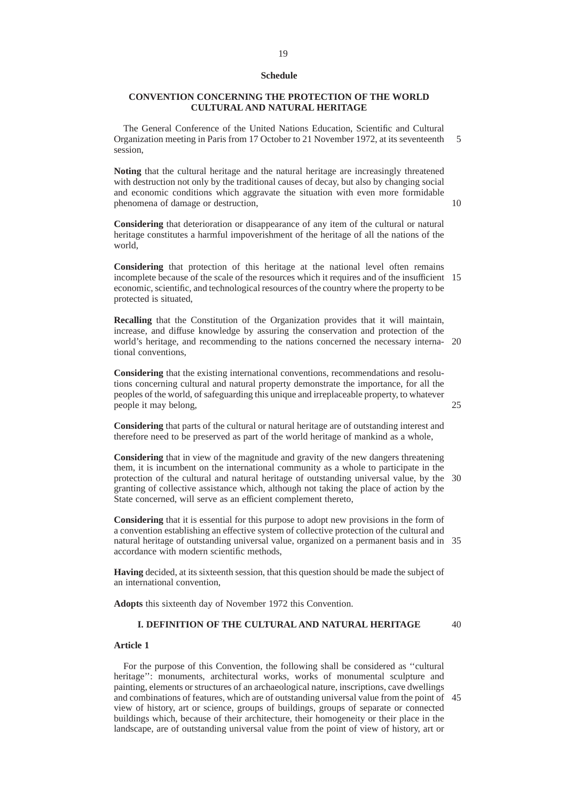#### **Schedule**

#### **CONVENTION CONCERNING THE PROTECTION OF THE WORLD CULTURAL AND NATURAL HERITAGE**

The General Conference of the United Nations Education, Scientific and Cultural Organization meeting in Paris from 17 October to 21 November 1972, at its seventeenth session. 5

**Noting** that the cultural heritage and the natural heritage are increasingly threatened with destruction not only by the traditional causes of decay, but also by changing social and economic conditions which aggravate the situation with even more formidable phenomena of damage or destruction,

**Considering** that deterioration or disappearance of any item of the cultural or natural heritage constitutes a harmful impoverishment of the heritage of all the nations of the world,

**Considering** that protection of this heritage at the national level often remains incomplete because of the scale of the resources which it requires and of the insufficient 15 economic, scientific, and technological resources of the country where the property to be protected is situated,

**Recalling** that the Constitution of the Organization provides that it will maintain, increase, and diffuse knowledge by assuring the conservation and protection of the world's heritage, and recommending to the nations concerned the necessary interna-20 tional conventions,

**Considering** that the existing international conventions, recommendations and resolutions concerning cultural and natural property demonstrate the importance, for all the peoples of the world, of safeguarding this unique and irreplaceable property, to whatever people it may belong,

**Considering** that parts of the cultural or natural heritage are of outstanding interest and therefore need to be preserved as part of the world heritage of mankind as a whole,

**Considering** that in view of the magnitude and gravity of the new dangers threatening them, it is incumbent on the international community as a whole to participate in the protection of the cultural and natural heritage of outstanding universal value, by the 30 granting of collective assistance which, although not taking the place of action by the State concerned, will serve as an efficient complement thereto,

**Considering** that it is essential for this purpose to adopt new provisions in the form of a convention establishing an effective system of collective protection of the cultural and natural heritage of outstanding universal value, organized on a permanent basis and in 35 accordance with modern scientific methods,

**Having** decided, at its sixteenth session, that this question should be made the subject of an international convention,

**Adopts** this sixteenth day of November 1972 this Convention.

#### **I. DEFINITION OF THE CULTURAL AND NATURAL HERITAGE**

40

10

25

#### **Article 1**

For the purpose of this Convention, the following shall be considered as ''cultural heritage": monuments, architectural works, works of monumental sculpture and painting, elements or structures of an archaeological nature, inscriptions, cave dwellings and combinations of features, which are of outstanding universal value from the point of 45view of history, art or science, groups of buildings, groups of separate or connected buildings which, because of their architecture, their homogeneity or their place in the landscape, are of outstanding universal value from the point of view of history, art or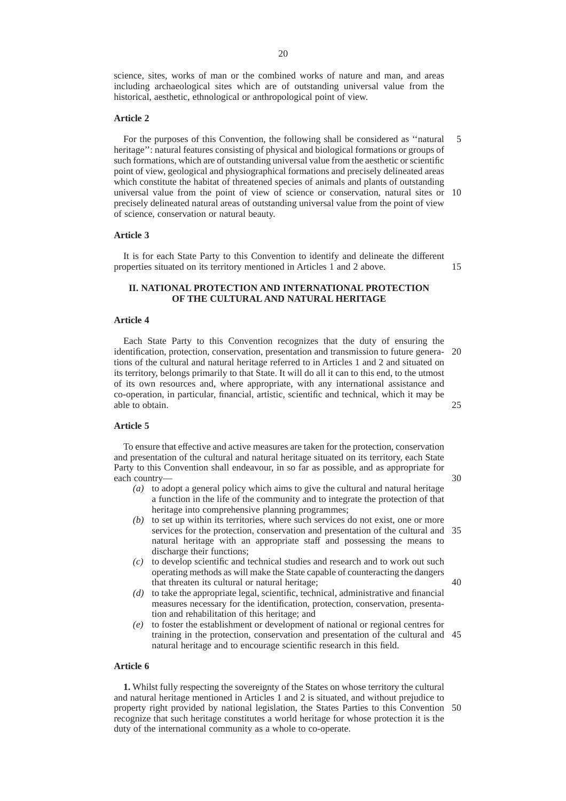science, sites, works of man or the combined works of nature and man, and areas including archaeological sites which are of outstanding universal value from the historical, aesthetic, ethnological or anthropological point of view.

#### **Article 2**

For the purposes of this Convention, the following shall be considered as ''natural heritage'': natural features consisting of physical and biological formations or groups of such formations, which are of outstanding universal value from the aesthetic or scientific point of view, geological and physiographical formations and precisely delineated areas which constitute the habitat of threatened species of animals and plants of outstanding universal value from the point of view of science or conservation, natural sites or 10 precisely delineated natural areas of outstanding universal value from the point of view of science, conservation or natural beauty. 5

#### **Article 3**

It is for each State Party to this Convention to identify and delineate the different properties situated on its territory mentioned in Articles 1 and 2 above.

15

30

40

#### **II. NATIONAL PROTECTION AND INTERNATIONAL PROTECTION OF THE CULTURAL AND NATURAL HERITAGE**

#### **Article 4**

Each State Party to this Convention recognizes that the duty of ensuring the identification, protection, conservation, presentation and transmission to future generations of the cultural and natural heritage referred to in Articles 1 and 2 and situated on its territory, belongs primarily to that State. It will do all it can to this end, to the utmost of its own resources and, where appropriate, with any international assistance and co-operation, in particular, financial, artistic, scientific and technical, which it may be able to obtain. 20 25

#### **Article 5**

To ensure that effective and active measures are taken for the protection, conservation and presentation of the cultural and natural heritage situated on its territory, each State Party to this Convention shall endeavour, in so far as possible, and as appropriate for each country—

- *(a)* to adopt a general policy which aims to give the cultural and natural heritage a function in the life of the community and to integrate the protection of that heritage into comprehensive planning programmes;
- *(b)* to set up within its territories, where such services do not exist, one or more services for the protection, conservation and presentation of the cultural and 35 natural heritage with an appropriate staff and possessing the means to discharge their functions;
- *(c)* to develop scientific and technical studies and research and to work out such operating methods as will make the State capable of counteracting the dangers that threaten its cultural or natural heritage;
- *(d)* to take the appropriate legal, scientific, technical, administrative and financial measures necessary for the identification, protection, conservation, presentation and rehabilitation of this heritage; and
- *(e)* to foster the establishment or development of national or regional centres for training in the protection, conservation and presentation of the cultural and 45 natural heritage and to encourage scientific research in this field.

#### **Article 6**

**1.** Whilst fully respecting the sovereignty of the States on whose territory the cultural and natural heritage mentioned in Articles 1 and 2 is situated, and without prejudice to property right provided by national legislation, the States Parties to this Convention 50recognize that such heritage constitutes a world heritage for whose protection it is the duty of the international community as a whole to co-operate.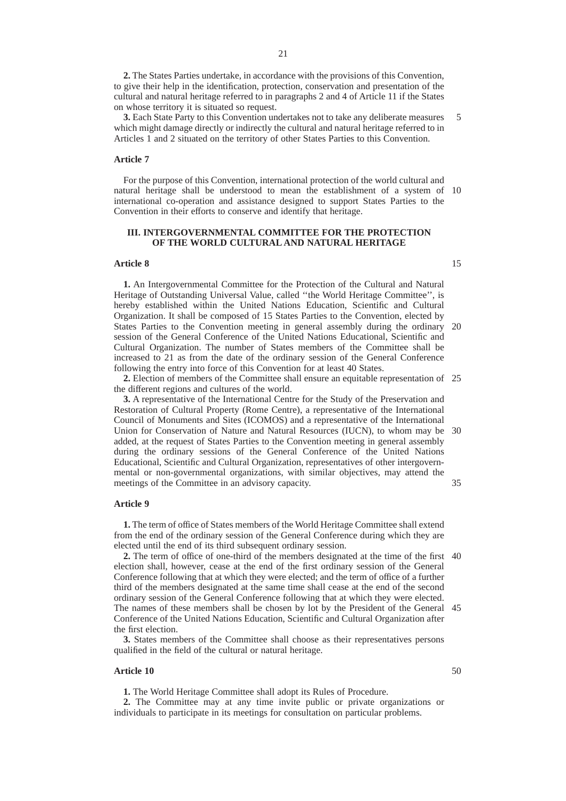**2.** The States Parties undertake, in accordance with the provisions of this Convention, to give their help in the identification, protection, conservation and presentation of the cultural and natural heritage referred to in paragraphs 2 and 4 of Article 11 if the States on whose territory it is situated so request.

**3.** Each State Party to this Convention undertakes not to take any deliberate measures which might damage directly or indirectly the cultural and natural heritage referred to in Articles 1 and 2 situated on the territory of other States Parties to this Convention. 5

#### **Article 7**

For the purpose of this Convention, international protection of the world cultural and natural heritage shall be understood to mean the establishment of a system of 10 international co-operation and assistance designed to support States Parties to the Convention in their efforts to conserve and identify that heritage.

#### **III. INTERGOVERNMENTAL COMMITTEE FOR THE PROTECTION OF THE WORLD CULTURAL AND NATURAL HERITAGE**

#### **Article 8**

**1.** An Intergovernmental Committee for the Protection of the Cultural and Natural Heritage of Outstanding Universal Value, called ''the World Heritage Committee'', is hereby established within the United Nations Education, Scientific and Cultural Organization. It shall be composed of 15 States Parties to the Convention, elected by States Parties to the Convention meeting in general assembly during the ordinary session of the General Conference of the United Nations Educational, Scientific and Cultural Organization. The number of States members of the Committee shall be increased to 21 as from the date of the ordinary session of the General Conference following the entry into force of this Convention for at least 40 States. 20

**2.** Election of members of the Committee shall ensure an equitable representation of 25 the different regions and cultures of the world.

**3.** A representative of the International Centre for the Study of the Preservation and Restoration of Cultural Property (Rome Centre), a representative of the International Council of Monuments and Sites (ICOMOS) and a representative of the International Union for Conservation of Nature and Natural Resources (IUCN), to whom may be 30 added, at the request of States Parties to the Convention meeting in general assembly during the ordinary sessions of the General Conference of the United Nations Educational, Scientific and Cultural Organization, representatives of other intergovernmental or non-governmental organizations, with similar objectives, may attend the meetings of the Committee in an advisory capacity. 35

#### **Article 9**

**1.** The term of office of States members of the World Heritage Committee shall extend from the end of the ordinary session of the General Conference during which they are elected until the end of its third subsequent ordinary session.

**2.** The term of office of one-third of the members designated at the time of the first 40 election shall, however, cease at the end of the first ordinary session of the General Conference following that at which they were elected; and the term of office of a further third of the members designated at the same time shall cease at the end of the second ordinary session of the General Conference following that at which they were elected. The names of these members shall be chosen by lot by the President of the General 45 Conference of the United Nations Education, Scientific and Cultural Organization after the first election.

**3.** States members of the Committee shall choose as their representatives persons qualified in the field of the cultural or natural heritage.

#### **Article 10**

**1.** The World Heritage Committee shall adopt its Rules of Procedure.

**2.** The Committee may at any time invite public or private organizations or individuals to participate in its meetings for consultation on particular problems.

15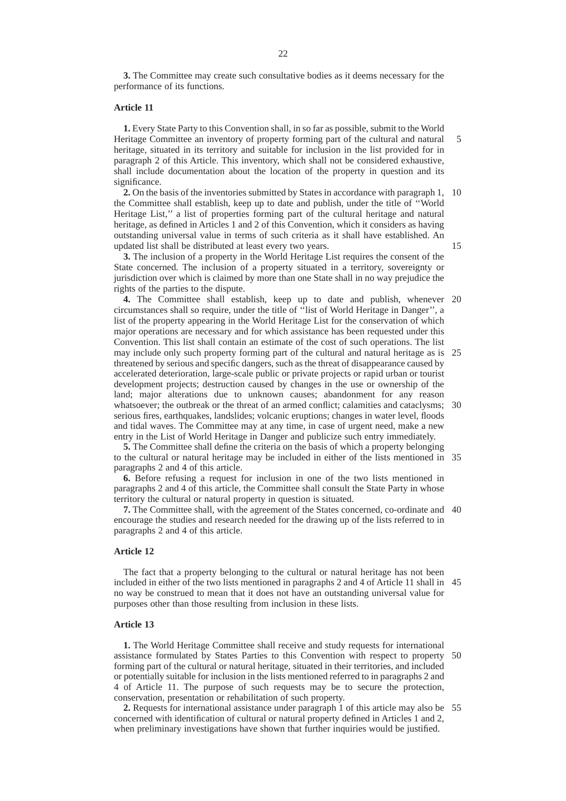**3.** The Committee may create such consultative bodies as it deems necessary for the performance of its functions.

#### **Article 11**

**1.** Every State Party to this Convention shall, in so far as possible, submit to the World Heritage Committee an inventory of property forming part of the cultural and natural heritage, situated in its territory and suitable for inclusion in the list provided for in paragraph 2 of this Article. This inventory, which shall not be considered exhaustive, shall include documentation about the location of the property in question and its significance. 5

**2.** On the basis of the inventories submitted by States in accordance with paragraph 1, 10 the Committee shall establish, keep up to date and publish, under the title of ''World Heritage List,'' a list of properties forming part of the cultural heritage and natural heritage, as defined in Articles 1 and 2 of this Convention, which it considers as having outstanding universal value in terms of such criteria as it shall have established. An updated list shall be distributed at least every two years. 15

**3.** The inclusion of a property in the World Heritage List requires the consent of the State concerned. The inclusion of a property situated in a territory, sovereignty or jurisdiction over which is claimed by more than one State shall in no way prejudice the rights of the parties to the dispute.

**4.** The Committee shall establish, keep up to date and publish, whenever 20 circumstances shall so require, under the title of ''list of World Heritage in Danger'', a list of the property appearing in the World Heritage List for the conservation of which major operations are necessary and for which assistance has been requested under this Convention. This list shall contain an estimate of the cost of such operations. The list may include only such property forming part of the cultural and natural heritage as is 25 threatened by serious and specific dangers, such as the threat of disappearance caused by accelerated deterioration, large-scale public or private projects or rapid urban or tourist development projects; destruction caused by changes in the use or ownership of the land; major alterations due to unknown causes; abandonment for any reason whatsoever; the outbreak or the threat of an armed conflict; calamities and cataclysms; 30 serious fires, earthquakes, landslides; volcanic eruptions; changes in water level, floods and tidal waves. The Committee may at any time, in case of urgent need, make a new entry in the List of World Heritage in Danger and publicize such entry immediately.

**5.** The Committee shall define the criteria on the basis of which a property belonging to the cultural or natural heritage may be included in either of the lists mentioned in 35 paragraphs 2 and 4 of this article.

**6.** Before refusing a request for inclusion in one of the two lists mentioned in paragraphs 2 and 4 of this article, the Committee shall consult the State Party in whose territory the cultural or natural property in question is situated.

**7.** The Committee shall, with the agreement of the States concerned, co-ordinate and 40 encourage the studies and research needed for the drawing up of the lists referred to in paragraphs 2 and 4 of this article.

#### **Article 12**

The fact that a property belonging to the cultural or natural heritage has not been included in either of the two lists mentioned in paragraphs 2 and 4 of Article 11 shall in 45 no way be construed to mean that it does not have an outstanding universal value for purposes other than those resulting from inclusion in these lists.

#### **Article 13**

**1.** The World Heritage Committee shall receive and study requests for international assistance formulated by States Parties to this Convention with respect to property forming part of the cultural or natural heritage, situated in their territories, and included or potentially suitable for inclusion in the lists mentioned referred to in paragraphs 2 and 4 of Article 11. The purpose of such requests may be to secure the protection, conservation, presentation or rehabilitation of such property. 50

**2.** Requests for international assistance under paragraph 1 of this article may also be 55concerned with identification of cultural or natural property defined in Articles 1 and 2, when preliminary investigations have shown that further inquiries would be justified.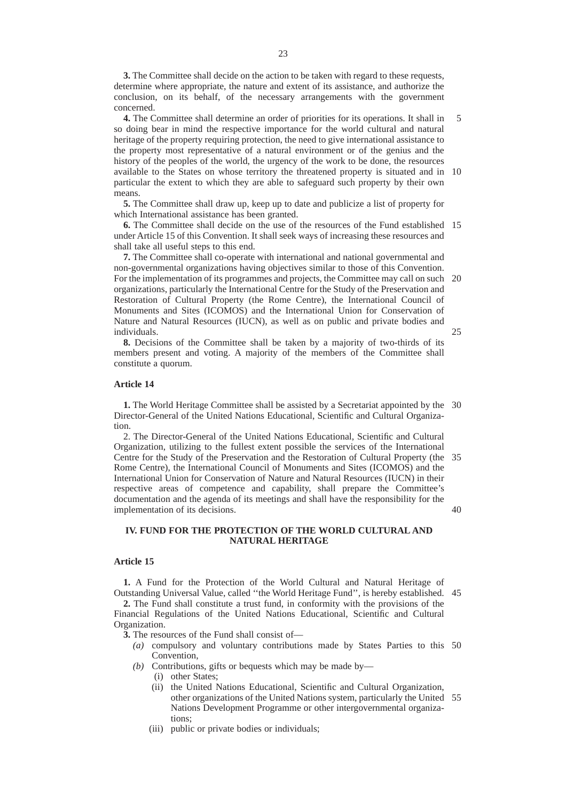**3.** The Committee shall decide on the action to be taken with regard to these requests, determine where appropriate, the nature and extent of its assistance, and authorize the conclusion, on its behalf, of the necessary arrangements with the government concerned.

**4.** The Committee shall determine an order of priorities for its operations. It shall in so doing bear in mind the respective importance for the world cultural and natural heritage of the property requiring protection, the need to give international assistance to the property most representative of a natural environment or of the genius and the history of the peoples of the world, the urgency of the work to be done, the resources available to the States on whose territory the threatened property is situated and in 10 particular the extent to which they are able to safeguard such property by their own means. 5

**5.** The Committee shall draw up, keep up to date and publicize a list of property for which International assistance has been granted.

**6.** The Committee shall decide on the use of the resources of the Fund established 15 under Article 15 of this Convention. It shall seek ways of increasing these resources and shall take all useful steps to this end.

**7.** The Committee shall co-operate with international and national governmental and non-governmental organizations having objectives similar to those of this Convention. For the implementation of its programmes and projects, the Committee may call on such 20 organizations, particularly the International Centre for the Study of the Preservation and Restoration of Cultural Property (the Rome Centre), the International Council of Monuments and Sites (ICOMOS) and the International Union for Conservation of Nature and Natural Resources (IUCN), as well as on public and private bodies and individuals. 25

**8.** Decisions of the Committee shall be taken by a majority of two-thirds of its members present and voting. A majority of the members of the Committee shall constitute a quorum.

#### **Article 14**

**1.** The World Heritage Committee shall be assisted by a Secretariat appointed by the 30 Director-General of the United Nations Educational, Scientific and Cultural Organization.

2. The Director-General of the United Nations Educational, Scientific and Cultural Organization, utilizing to the fullest extent possible the services of the International Centre for the Study of the Preservation and the Restoration of Cultural Property (the 35 Rome Centre), the International Council of Monuments and Sites (ICOMOS) and the International Union for Conservation of Nature and Natural Resources (IUCN) in their respective areas of competence and capability, shall prepare the Committee's documentation and the agenda of its meetings and shall have the responsibility for the implementation of its decisions. 40

#### **IV. FUND FOR THE PROTECTION OF THE WORLD CULTURAL AND NATURAL HERITAGE**

#### **Article 15**

**1.** A Fund for the Protection of the World Cultural and Natural Heritage of Outstanding Universal Value, called ''the World Heritage Fund'', is hereby established. 45

**2.** The Fund shall constitute a trust fund, in conformity with the provisions of the Financial Regulations of the United Nations Educational, Scientific and Cultural Organization.

**3.** The resources of the Fund shall consist of—

- *(a)* compulsory and voluntary contributions made by States Parties to this 50 Convention,
- *(b)* Contributions, gifts or bequests which may be made by—
	- (i) other States;
		- (ii) the United Nations Educational, Scientific and Cultural Organization, other organizations of the United Nations system, particularly the United 55Nations Development Programme or other intergovernmental organizations;
	- (iii) public or private bodies or individuals;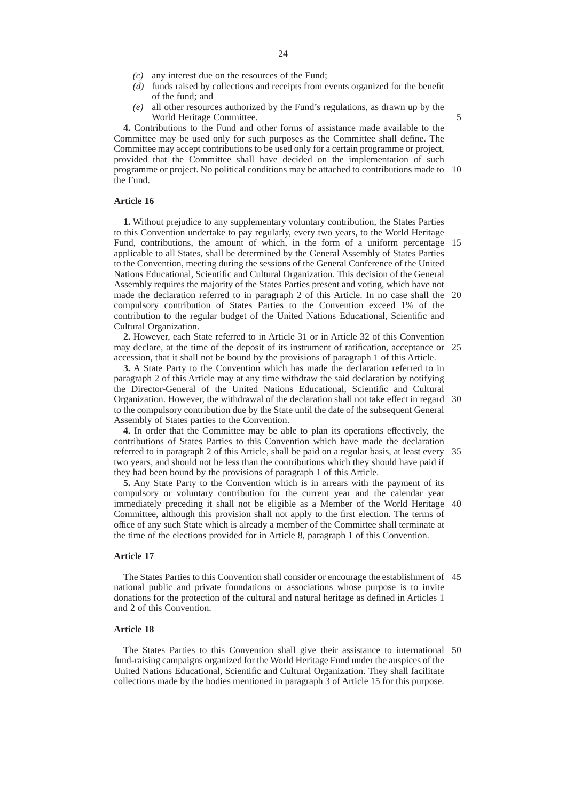- *(c)* any interest due on the resources of the Fund;
- *(d)* funds raised by collections and receipts from events organized for the benefit of the fund; and
- *(e)* all other resources authorized by the Fund's regulations, as drawn up by the World Heritage Committee.

**4.** Contributions to the Fund and other forms of assistance made available to the Committee may be used only for such purposes as the Committee shall define. The Committee may accept contributions to be used only for a certain programme or project, provided that the Committee shall have decided on the implementation of such programme or project. No political conditions may be attached to contributions made to 10 the Fund.

#### **Article 16**

**1.** Without prejudice to any supplementary voluntary contribution, the States Parties to this Convention undertake to pay regularly, every two years, to the World Heritage Fund, contributions, the amount of which, in the form of a uniform percentage 15 applicable to all States, shall be determined by the General Assembly of States Parties to the Convention, meeting during the sessions of the General Conference of the United Nations Educational, Scientific and Cultural Organization. This decision of the General Assembly requires the majority of the States Parties present and voting, which have not made the declaration referred to in paragraph 2 of this Article. In no case shall the 20 compulsory contribution of States Parties to the Convention exceed 1% of the contribution to the regular budget of the United Nations Educational, Scientific and Cultural Organization.

**2.** However, each State referred to in Article 31 or in Article 32 of this Convention may declare, at the time of the deposit of its instrument of ratification, acceptance or 25 accession, that it shall not be bound by the provisions of paragraph 1 of this Article.

**3.** A State Party to the Convention which has made the declaration referred to in paragraph 2 of this Article may at any time withdraw the said declaration by notifying the Director-General of the United Nations Educational, Scientific and Cultural Organization. However, the withdrawal of the declaration shall not take effect in regard 30 to the compulsory contribution due by the State until the date of the subsequent General Assembly of States parties to the Convention.

**4.** In order that the Committee may be able to plan its operations effectively, the contributions of States Parties to this Convention which have made the declaration referred to in paragraph 2 of this Article, shall be paid on a regular basis, at least every 35 two years, and should not be less than the contributions which they should have paid if they had been bound by the provisions of paragraph 1 of this Article.

**5.** Any State Party to the Convention which is in arrears with the payment of its compulsory or voluntary contribution for the current year and the calendar year immediately preceding it shall not be eligible as a Member of the World Heritage 40 Committee, although this provision shall not apply to the first election. The terms of office of any such State which is already a member of the Committee shall terminate at the time of the elections provided for in Article 8, paragraph 1 of this Convention.

#### **Article 17**

The States Parties to this Convention shall consider or encourage the establishment of 45 national public and private foundations or associations whose purpose is to invite donations for the protection of the cultural and natural heritage as defined in Articles 1 and 2 of this Convention.

#### **Article 18**

The States Parties to this Convention shall give their assistance to international 50fund-raising campaigns organized for the World Heritage Fund under the auspices of the United Nations Educational, Scientific and Cultural Organization. They shall facilitate collections made by the bodies mentioned in paragraph 3 of Article 15 for this purpose.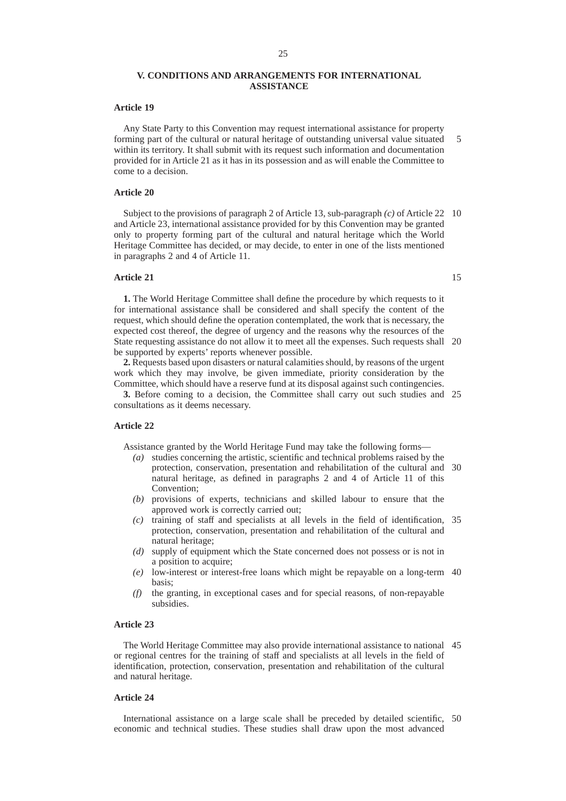#### **V. CONDITIONS AND ARRANGEMENTS FOR INTERNATIONAL ASSISTANCE**

#### **Article 19**

Any State Party to this Convention may request international assistance for property forming part of the cultural or natural heritage of outstanding universal value situated within its territory. It shall submit with its request such information and documentation provided for in Article 21 as it has in its possession and as will enable the Committee to come to a decision. 5

#### **Article 20**

Subject to the provisions of paragraph 2 of Article 13, sub-paragraph *(c)* of Article 22 10 and Article 23, international assistance provided for by this Convention may be granted only to property forming part of the cultural and natural heritage which the World Heritage Committee has decided, or may decide, to enter in one of the lists mentioned in paragraphs 2 and 4 of Article 11.

#### **Article 21**

**1.** The World Heritage Committee shall define the procedure by which requests to it for international assistance shall be considered and shall specify the content of the request, which should define the operation contemplated, the work that is necessary, the expected cost thereof, the degree of urgency and the reasons why the resources of the State requesting assistance do not allow it to meet all the expenses. Such requests shall be supported by experts' reports whenever possible. 20

**2.** Requests based upon disasters or natural calamities should, by reasons of the urgent work which they may involve, be given immediate, priority consideration by the Committee, which should have a reserve fund at its disposal against such contingencies.

**3.** Before coming to a decision, the Committee shall carry out such studies and 25 consultations as it deems necessary.

#### **Article 22**

Assistance granted by the World Heritage Fund may take the following forms—

- *(a)* studies concerning the artistic, scientific and technical problems raised by the protection, conservation, presentation and rehabilitation of the cultural and 30 natural heritage, as defined in paragraphs 2 and 4 of Article 11 of this Convention;
- *(b)* provisions of experts, technicians and skilled labour to ensure that the approved work is correctly carried out;
- *(c)* training of staff and specialists at all levels in the field of identification, 35 protection, conservation, presentation and rehabilitation of the cultural and natural heritage;
- *(d)* supply of equipment which the State concerned does not possess or is not in a position to acquire;
- *(e)* low-interest or interest-free loans which might be repayable on a long-term 40 basis;
- *(f)* the granting, in exceptional cases and for special reasons, of non-repayable subsidies.

#### **Article 23**

The World Heritage Committee may also provide international assistance to national 45 or regional centres for the training of staff and specialists at all levels in the field of identification, protection, conservation, presentation and rehabilitation of the cultural and natural heritage.

#### **Article 24**

International assistance on a large scale shall be preceded by detailed scientific, 50economic and technical studies. These studies shall draw upon the most advanced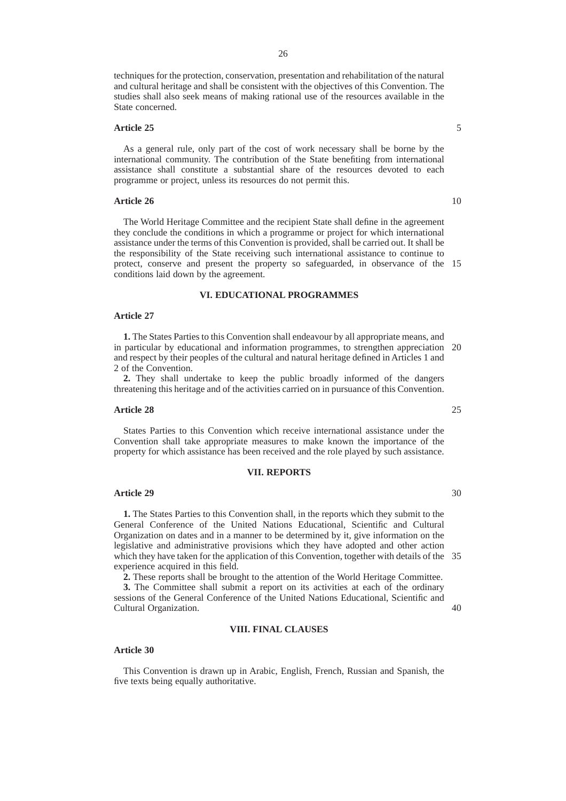techniques for the protection, conservation, presentation and rehabilitation of the natural and cultural heritage and shall be consistent with the objectives of this Convention. The studies shall also seek means of making rational use of the resources available in the State concerned.

#### **Article 25**

As a general rule, only part of the cost of work necessary shall be borne by the international community. The contribution of the State benefiting from international assistance shall constitute a substantial share of the resources devoted to each programme or project, unless its resources do not permit this.

#### **Article 26**

The World Heritage Committee and the recipient State shall define in the agreement they conclude the conditions in which a programme or project for which international assistance under the terms of this Convention is provided, shall be carried out. It shall be the responsibility of the State receiving such international assistance to continue to protect, conserve and present the property so safeguarded, in observance of the 15 conditions laid down by the agreement.

#### **VI. EDUCATIONAL PROGRAMMES**

#### **Article 27**

**1.** The States Parties to this Convention shall endeavour by all appropriate means, and in particular by educational and information programmes, to strengthen appreciation 20 and respect by their peoples of the cultural and natural heritage defined in Articles 1 and 2 of the Convention.

**2.** They shall undertake to keep the public broadly informed of the dangers threatening this heritage and of the activities carried on in pursuance of this Convention.

#### **Article 28**

States Parties to this Convention which receive international assistance under the Convention shall take appropriate measures to make known the importance of the property for which assistance has been received and the role played by such assistance.

#### **VII. REPORTS**

#### **Article 29**

**1.** The States Parties to this Convention shall, in the reports which they submit to the General Conference of the United Nations Educational, Scientific and Cultural Organization on dates and in a manner to be determined by it, give information on the legislative and administrative provisions which they have adopted and other action which they have taken for the application of this Convention, together with details of the 35 experience acquired in this field.

**2.** These reports shall be brought to the attention of the World Heritage Committee.

**3.** The Committee shall submit a report on its activities at each of the ordinary sessions of the General Conference of the United Nations Educational, Scientific and Cultural Organization.

#### **VIII. FINAL CLAUSES**

#### **Article 30**

This Convention is drawn up in Arabic, English, French, Russian and Spanish, the five texts being equally authoritative.

30

40

25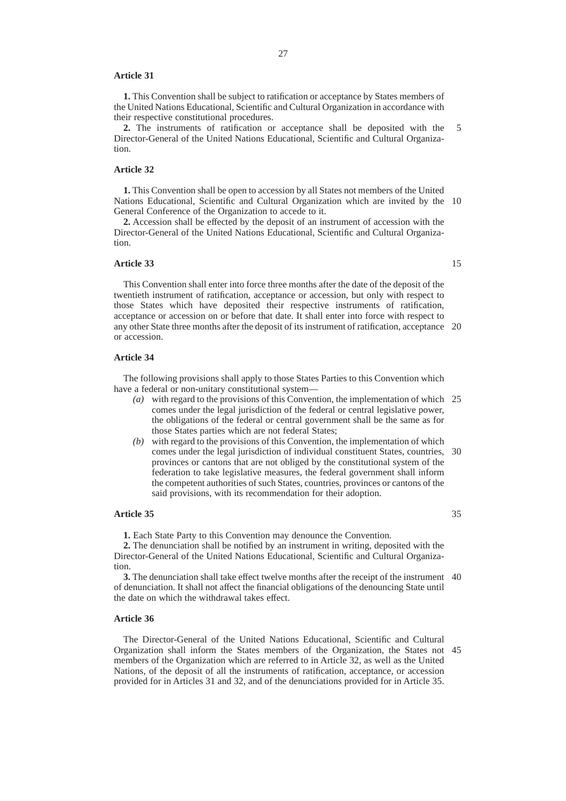#### **Article 31**

**1.** This Convention shall be subject to ratification or acceptance by States members of the United Nations Educational, Scientific and Cultural Organization in accordance with their respective constitutional procedures.

**2.** The instruments of ratification or acceptance shall be deposited with the Director-General of the United Nations Educational, Scientific and Cultural Organization. 5

#### **Article 32**

**1.** This Convention shall be open to accession by all States not members of the United Nations Educational, Scientific and Cultural Organization which are invited by the 10 General Conference of the Organization to accede to it.

**2.** Accession shall be effected by the deposit of an instrument of accession with the Director-General of the United Nations Educational, Scientific and Cultural Organization.

#### **Article 33**

This Convention shall enter into force three months after the date of the deposit of the twentieth instrument of ratification, acceptance or accession, but only with respect to those States which have deposited their respective instruments of ratification, acceptance or accession on or before that date. It shall enter into force with respect to any other State three months after the deposit of its instrument of ratification, acceptance 20 or accession.

#### **Article 34**

The following provisions shall apply to those States Parties to this Convention which have a federal or non-unitary constitutional system—

- *(a)* with regard to the provisions of this Convention, the implementation of which 25 comes under the legal jurisdiction of the federal or central legislative power, the obligations of the federal or central government shall be the same as for those States parties which are not federal States;
- *(b)* with regard to the provisions of this Convention, the implementation of which comes under the legal jurisdiction of individual constituent States, countries, 30 provinces or cantons that are not obliged by the constitutional system of the federation to take legislative measures, the federal government shall inform the competent authorities of such States, countries, provinces or cantons of the said provisions, with its recommendation for their adoption.

#### **Article 35**

**1.** Each State Party to this Convention may denounce the Convention.

**2.** The denunciation shall be notified by an instrument in writing, deposited with the Director-General of the United Nations Educational, Scientific and Cultural Organization.

**3.** The denunciation shall take effect twelve months after the receipt of the instrument 40 of denunciation. It shall not affect the financial obligations of the denouncing State until the date on which the withdrawal takes effect.

#### **Article 36**

The Director-General of the United Nations Educational, Scientific and Cultural Organization shall inform the States members of the Organization, the States not 45members of the Organization which are referred to in Article 32, as well as the United Nations, of the deposit of all the instruments of ratification, acceptance, or accession provided for in Articles 31 and 32, and of the denunciations provided for in Article 35.

35